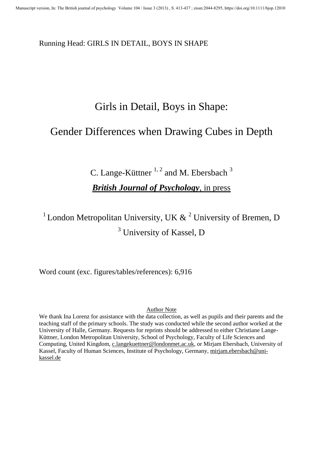Running Head: GIRLS IN DETAIL, BOYS IN SHAPE

# Girls in Detail, Boys in Shape:

# Gender Differences when Drawing Cubes in Depth

C. Lange-Küttner  $1, 2$  and M. Ebersbach  $3$ *British Journal of Psychology*, in press

<sup>1</sup> London Metropolitan University, UK  $\&$  <sup>2</sup> University of Bremen, D <sup>3</sup> University of Kassel, D

Word count (exc. figures/tables/references): 6,916

#### Author Note

We thank Ina Lorenz for assistance with the data collection, as well as pupils and their parents and the teaching staff of the primary schools. The study was conducted while the second author worked at the University of Halle, Germany. Requests for reprints should be addressed to either Christiane Lange-Küttner, London Metropolitan University, School of Psychology, Faculty of Life Sciences and Computing, United Kingdom, [c.langekuettner@londonmet.ac.uk,](mailto:c.langekuettner@londonmet.ac.uk) or Mirjam Ebersbach, University of Kassel, Faculty of Human Sciences, Institute of Psychology, Germany, mirjam.ebersbach@unikassel.de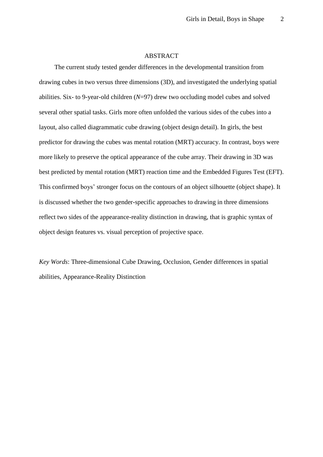#### ABSTRACT

The current study tested gender differences in the developmental transition from drawing cubes in two versus three dimensions (3D), and investigated the underlying spatial abilities. Six- to 9-year-old children (*N*=97) drew two occluding model cubes and solved several other spatial tasks. Girls more often unfolded the various sides of the cubes into a layout, also called diagrammatic cube drawing (object design detail). In girls, the best predictor for drawing the cubes was mental rotation (MRT) accuracy. In contrast, boys were more likely to preserve the optical appearance of the cube array. Their drawing in 3D was best predicted by mental rotation (MRT) reaction time and the Embedded Figures Test (EFT). This confirmed boys' stronger focus on the contours of an object silhouette (object shape). It is discussed whether the two gender-specific approaches to drawing in three dimensions reflect two sides of the appearance-reality distinction in drawing, that is graphic syntax of object design features vs. visual perception of projective space.

*Key Words*: Three-dimensional Cube Drawing, Occlusion, Gender differences in spatial abilities, Appearance-Reality Distinction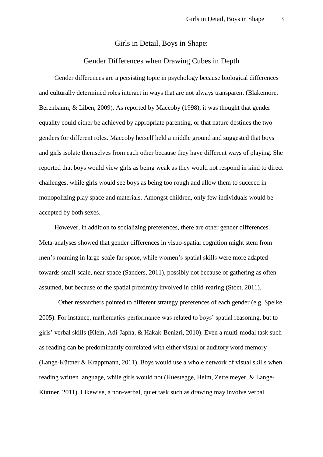#### Girls in Detail, Boys in Shape:

#### Gender Differences when Drawing Cubes in Depth

Gender differences are a persisting topic in psychology because biological differences and culturally determined roles interact in ways that are not always transparent [\(Blakemore,](#page-23-0)  [Berenbaum, & Liben, 2009\)](#page-23-0). As reported by Maccoby [\(1998\)](#page-30-0), it was thought that gender equality could either be achieved by appropriate parenting, or that nature destines the two genders for different roles. Maccoby herself held a middle ground and suggested that boys and girls isolate themselves from each other because they have different ways of playing. She reported that boys would view girls as being weak as they would not respond in kind to direct challenges, while girls would see boys as being too rough and allow them to succeed in monopolizing play space and materials. Amongst children, only few individuals would be accepted by both sexes.

However, in addition to socializing preferences, there are other gender differences. Meta-analyses showed that gender differences in visuo-spatial cognition might stem from men's roaming in large-scale far space, while women's spatial skills were more adapted towards small-scale, near space [\(Sanders, 2011\)](#page-32-0), possibly not because of gathering as often assumed, but because of the spatial proximity involved in child-rearing [\(Stoet, 2011\)](#page-33-0).

Other researchers pointed to different strategy preferences of each gender [\(e.g. Spelke,](#page-33-1)  [2005\)](#page-33-1). For instance, mathematics performance was related to boys' spatial reasoning, but to girls' verbal skills [\(Klein, Adi-Japha, & Hakak-Benizri, 2010\)](#page-27-0). Even a multi-modal task such as reading can be predominantly correlated with either visual or auditory word memory [\(Lange-Küttner & Krappmann, 2011\)](#page-28-0). Boys would use a whole network of visual skills when reading written language, while girls would not [\(Huestegge, Heim, Zettelmeyer, & Lange-](#page-26-0)[Küttner, 2011\)](#page-26-0). Likewise, a non-verbal, quiet task such as drawing may involve verbal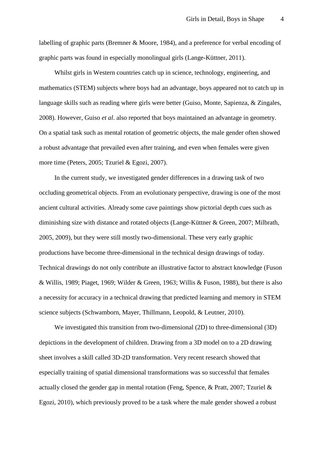labelling of graphic parts [\(Bremner & Moore, 1984\)](#page-23-1), and a preference for verbal encoding of graphic parts was found in especially monolingual girls (Lange-Küttner, 2011).

Whilst girls in Western countries catch up in science, technology, engineering, and mathematics (STEM) subjects where boys had an advantage, boys appeared not to catch up in language skills such as reading where girls were better [\(Guiso, Monte, Sapienza, & Zingales,](#page-26-1)  [2008\)](#page-26-1). However, Guiso *et al*. also reported that boys maintained an advantage in geometry. On a spatial task such as mental rotation of geometric objects, the male gender often showed a robust advantage that prevailed even after training, and even when females were given more time [\(Peters, 2005;](#page-31-0) [Tzuriel & Egozi, 2007\)](#page-33-2).

In the current study, we investigated gender differences in a drawing task of two occluding geometrical objects. From an evolutionary perspective, drawing is one of the most ancient cultural activities. Already some cave paintings show pictorial depth cues such as diminishing size with distance and rotated objects [\(Lange-Küttner & Green, 2007;](#page-28-1) [Milbrath,](#page-30-1)  [2005,](#page-30-1) [2009\)](#page-30-2), but they were still mostly two-dimensional. These very early graphic productions have become three-dimensional in the technical design drawings of today. Technical drawings do not only contribute an illustrative factor to abstract knowledge [\(Fuson](#page-25-0)  [& Willis, 1989;](#page-25-0) [Piaget, 1969;](#page-32-1) [Wilder & Green, 1963;](#page-35-0) [Willis & Fuson, 1988\)](#page-35-1), but there is also a necessity for accuracy in a technical drawing that predicted learning and memory in STEM science subjects [\(Schwamborn, Mayer, Thillmann, Leopold, & Leutner, 2010\)](#page-33-3).

We investigated this transition from two-dimensional (2D) to three-dimensional (3D) depictions in the development of children. Drawing from a 3D model on to a 2D drawing sheet involves a skill called 3D-2D transformation. Very recent research showed that especially training of spatial dimensional transformations was so successful that females actually closed the gender gap in mental rotation [\(Feng, Spence, & Pratt, 2007;](#page-24-0) [Tzuriel &](#page-34-0)  [Egozi, 2010\)](#page-34-0), which previously proved to be a task where the male gender showed a robust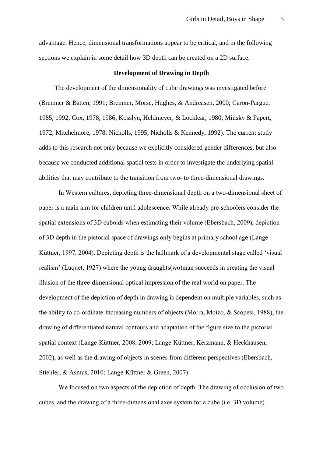advantage. Hence, dimensional transformations appear to be critical, and in the following sections we explain in some detail how 3D depth can be created on a 2D surface.

#### **Development of Drawing in Depth**

The development of the dimensionality of cube drawings was investigated before [\(Bremner & Batten, 1991;](#page-23-2) [Bremner, Morse, Hughes, & Andreasen, 2000;](#page-24-1) [Caron-Pargue,](#page-24-2)  [1985,](#page-24-2) [1992;](#page-24-3) [Cox, 1978,](#page-24-4) [1986;](#page-24-5) [Kosslyn, Heldmeyer, & Locklear, 1980;](#page-27-1) [Minsky & Papert,](#page-30-3)  [1972;](#page-30-3) [Mitchelmore, 1978;](#page-30-4) [Nicholls, 1995;](#page-31-1) [Nicholls & Kennedy, 1992\)](#page-31-2). The current study adds to this research not only because we explicitly considered gender differences, but also because we conducted additional spatial tests in order to investigate the underlying spatial abilities that may contribute to the transition from two- to three-dimensional drawings.

In Western cultures, depicting three-dimensional depth on a two-dimensional sheet of paper is a main aim for children until adolescence. While already pre-schoolers consider the spatial extensions of 3D cuboids when estimating their volume [\(Ebersbach, 2009\)](#page-24-6), depiction of 3D depth in the pictorial space of drawings only begins at primary school age [\(Lange-](#page-27-2)[Küttner, 1997,](#page-27-2) [2004\)](#page-27-3). Depicting depth is the hallmark of a developmental stage called 'visual realism' [\(Luquet, 1927\)](#page-30-5) where the young draughts(wo)man succeeds in creating the visual illusion of the three-dimensional optical impression of the real world on paper. The development of the depiction of depth in drawing is dependent on multiple variables, such as the ability to co-ordinate increasing numbers of objects [\(Morra, Moizo, & Scopesi, 1988\)](#page-31-3), the drawing of differentiated natural contours and adaptation of the figure size to the pictorial spatial context [\(Lange-Küttner, 2008,](#page-28-2) [2009;](#page-28-3) [Lange-Küttner, Kerzmann, & Heckhausen,](#page-28-4)  [2002\)](#page-28-4), as well as the drawing of objects in scenes from different perspectives [\(Ebersbach,](#page-24-7)  [Stiehler, & Asmus, 2010;](#page-24-7) [Lange-Küttner & Green, 2007\)](#page-28-1).

We focused on two aspects of the depiction of depth: The drawing of occlusion of two cubes, and the drawing of a three-dimensional axes system for a cube (i.e. 3D volume).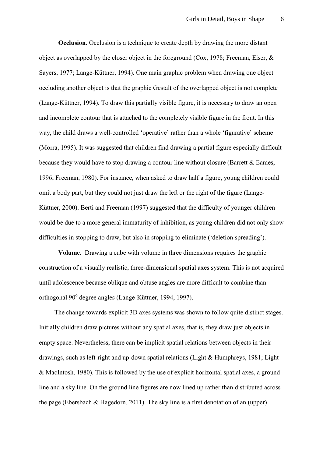**Occlusion.** Occlusion is a technique to create depth by drawing the more distant object as overlapped by the closer object in the foreground [\(Cox, 1978;](#page-24-4) [Freeman, Eiser, &](#page-25-1)  [Sayers, 1977;](#page-25-1) [Lange-Küttner, 1994\)](#page-27-4). One main graphic problem when drawing one object occluding another object is that the graphic Gestalt of the overlapped object is not complete [\(Lange-Küttner, 1994\)](#page-27-4). To draw this partially visible figure, it is necessary to draw an open and incomplete contour that is attached to the completely visible figure in the front. In this way, the child draws a well-controlled 'operative' rather than a whole 'figurative' scheme [\(Morra, 1995\)](#page-30-6). It was suggested that children find drawing a partial figure especially difficult because they would have to stop drawing a contour line without closure [\(Barrett & Eames,](#page-23-3)  [1996;](#page-23-3) [Freeman, 1980\)](#page-25-2). For instance, when asked to draw half a figure, young children could omit a body part, but they could not just draw the left or the right of the figure [\(Lange-](#page-27-5)[Küttner, 2000\)](#page-27-5). Berti and Freeman [\(1997\)](#page-23-4) suggested that the difficulty of younger children would be due to a more general immaturity of inhibition, as young children did not only show difficulties in stopping to draw, but also in stopping to eliminate ('deletion spreading').

**Volume.** Drawing a cube with volume in three dimensions requires the graphic construction of a visually realistic, three-dimensional spatial axes system. This is not acquired until adolescence because oblique and obtuse angles are more difficult to combine than orthogonal 90<sup>°</sup> degree angles (Lange-Küttner, 1994, 1997).

The change towards explicit 3D axes systems was shown to follow quite distinct stages. Initially children draw pictures without any spatial axes, that is, they draw just objects in empty space. Nevertheless, there can be implicit spatial relations between objects in their drawings, such as left-right and up-down spatial relations [\(Light & Humphreys, 1981;](#page-29-0) [Light](#page-29-1)  [& MacIntosh, 1980\)](#page-29-1). This is followed by the use of explicit horizontal spatial axes, a ground line and a sky line. On the ground line figures are now lined up rather than distributed across the page [\(Ebersbach & Hagedorn, 2011\)](#page-24-8). The sky line is a first denotation of an (upper)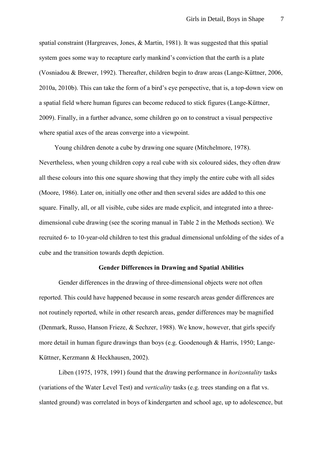spatial constraint [\(Hargreaves, Jones, & Martin, 1981\)](#page-26-2). It was suggested that this spatial system goes some way to recapture early mankind's conviction that the earth is a plate [\(Vosniadou & Brewer, 1992\)](#page-34-1). Thereafter, children begin to draw areas [\(Lange-Küttner, 2006,](#page-28-5) [2010a,](#page-28-6) [2010b\)](#page-28-7). This can take the form of a bird's eye perspective, that is, a top-down view on a spatial field where human figures can become reduced to stick figures [\(Lange-Küttner,](#page-28-3)  [2009\)](#page-28-3). Finally, in a further advance, some children go on to construct a visual perspective where spatial axes of the areas converge into a viewpoint.

Young children denote a cube by drawing one square [\(Mitchelmore, 1978\)](#page-30-4). Nevertheless, when young children copy a real cube with six coloured sides, they often draw all these colours into this one square showing that they imply the entire cube with all sides [\(Moore, 1986\)](#page-30-7). Later on, initially one other and then several sides are added to this one square. Finally, all, or all visible, cube sides are made explicit, and integrated into a threedimensional cube drawing (see the scoring manual in Table 2 in the Methods section). We recruited 6- to 10-year-old children to test this gradual dimensional unfolding of the sides of a cube and the transition towards depth depiction.

#### **Gender Differences in Drawing and Spatial Abilities**

Gender differences in the drawing of three-dimensional objects were not often reported. This could have happened because in some research areas gender differences are not routinely reported, while in other research areas, gender differences may be magnified [\(Denmark, Russo, Hanson Frieze, & Sechzer, 1988\)](#page-24-9). We know, however, that girls specify more detail in human figure drawings than boys (e.g. Goodenough & Harris, 1950; Lange-Küttner, Kerzmann & Heckhausen, 2002).

Liben [\(1975,](#page-29-2) [1978,](#page-29-3) [1991\)](#page-29-4) found that the drawing performance in *horizontality* tasks (variations of the Water Level Test) and *verticality* tasks (e.g. trees standing on a flat vs. slanted ground) was correlated in boys of kindergarten and school age, up to adolescence, but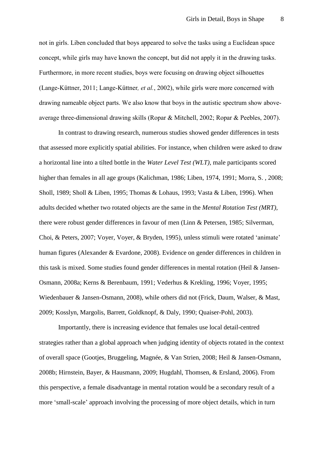not in girls. Liben concluded that boys appeared to solve the tasks using a Euclidean space concept, while girls may have known the concept, but did not apply it in the drawing tasks. Furthermore, in more recent studies, boys were focusing on drawing object silhouettes [\(Lange-Küttner, 2011;](#page-28-8) [Lange-Küttner](#page-28-4)*, et al.*, 2002), while girls were more concerned with drawing nameable object parts. We also know that boys in the autistic spectrum show aboveaverage three-dimensional drawing skills [\(Ropar & Mitchell, 2002;](#page-32-2) [Ropar & Peebles, 2007\)](#page-32-3).

In contrast to drawing research, numerous studies showed gender differences in tests that assessed more explicitly spatial abilities. For instance, when children were asked to draw a horizontal line into a tilted bottle in the *Water Level Test (WLT),* male participants scored higher than females in all age groups [\(Kalichman, 1986;](#page-27-6) [Liben, 1974,](#page-29-5) [1991;](#page-29-4) [Morra, S. , 2008;](#page-31-4) [Sholl, 1989;](#page-33-4) [Sholl & Liben, 1995;](#page-33-5) [Thomas & Lohaus, 1993;](#page-33-6) [Vasta & Liben, 1996\)](#page-34-2). When adults decided whether two rotated objects are the same in the *Mental Rotation Test (MRT),* there were robust gender differences in favour of men [\(Linn & Petersen, 1985;](#page-29-6) [Silverman,](#page-33-7)  [Choi, & Peters, 2007;](#page-33-7) [Voyer, Voyer, & Bryden, 1995\)](#page-34-3), unless stimuli were rotated 'animate' human figures [\(Alexander & Evardone, 2008\)](#page-23-5). Evidence on gender differences in children in this task is mixed. Some studies found gender differences in mental rotation [\(Heil & Jansen-](#page-26-3)[Osmann, 2008a;](#page-26-3) [Kerns & Berenbaum, 1991;](#page-27-7) [Vederhus & Krekling, 1996;](#page-34-4) [Voyer, 1995;](#page-34-5) [Wiedenbauer & Jansen-Osmann, 2008\)](#page-35-2), while others did not [\(Frick, Daum, Walser, & Mast,](#page-25-3)  [2009;](#page-25-3) [Kosslyn, Margolis, Barrett, Goldknopf, & Daly, 1990;](#page-27-8) [Quaiser-Pohl, 2003\)](#page-32-4).

Importantly, there is increasing evidence that females use local detail-centred strategies rather than a global approach when judging identity of objects rotated in the context of overall space [\(Gootjes, Bruggeling, Magnée, & Van Strien, 2008;](#page-25-4) [Heil & Jansen-Osmann,](#page-26-4)  [2008b;](#page-26-4) [Hirnstein, Bayer, & Hausmann, 2009;](#page-26-5) [Hugdahl, Thomsen, & Ersland, 2006\)](#page-26-6). From this perspective, a female disadvantage in mental rotation would be a secondary result of a more 'small-scale' approach involving the processing of more object details, which in turn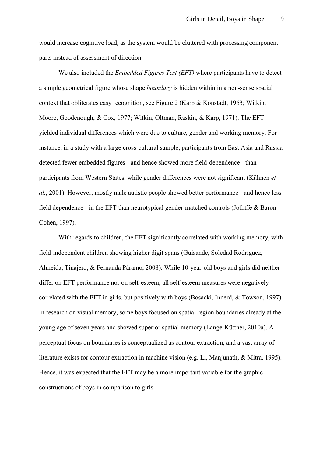would increase cognitive load, as the system would be cluttered with processing component parts instead of assessment of direction.

We also included the *Embedded Figures Test (EFT)* where participants have to detect a simple geometrical figure whose shape *boundary* is hidden within in a non-sense spatial context that obliterates easy recognition, see Figure 2 [\(Karp & Konstadt, 1963;](#page-27-9) [Witkin,](#page-35-3)  [Moore, Goodenough, & Cox, 1977;](#page-35-3) [Witkin, Oltman, Raskin, & Karp, 1971\)](#page-35-4). The EFT yielded individual differences which were due to culture, gender and working memory. For instance, in a study with a large cross-cultural sample, participants from East Asia and Russia detected fewer embedded figures - and hence showed more field-dependence - than participants from Western States, while gender differences were not significant [\(Kühnen](#page-27-10) *et al.*[, 2001\)](#page-27-10). However, mostly male autistic people showed better performance - and hence less field dependence - in the EFT than neurotypical gender-matched controls [\(Jolliffe & Baron-](#page-26-7)[Cohen, 1997\)](#page-26-7).

With regards to children, the EFT significantly correlated with working memory, with field-independent children showing higher digit spans [\(Guisande, Soledad Rodríguez,](#page-26-8)  [Almeida, Tinajero, & Fernanda Páramo, 2008\)](#page-26-8). While 10-year-old boys and girls did neither differ on EFT performance nor on self-esteem, all self-esteem measures were negatively correlated with the EFT in girls, but positively with boys [\(Bosacki, Innerd, & Towson, 1997\)](#page-23-6). In research on visual memory, some boys focused on spatial region boundaries already at the young age of seven years and showed superior spatial memory [\(Lange-Küttner, 2010a\)](#page-28-6). A perceptual focus on boundaries is conceptualized as contour extraction, and a vast array of literature exists for contour extraction in machine vision [\(e.g. Li, Manjunath, & Mitra, 1995\)](#page-29-7). Hence, it was expected that the EFT may be a more important variable for the graphic constructions of boys in comparison to girls.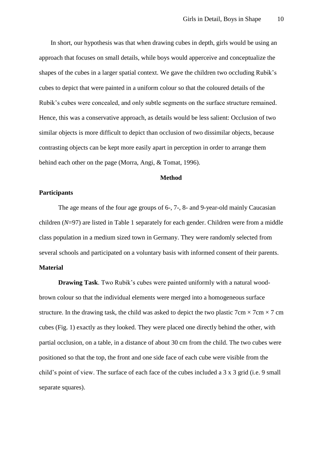In short, our hypothesis was that when drawing cubes in depth, girls would be using an approach that focuses on small details, while boys would apperceive and conceptualize the shapes of the cubes in a larger spatial context. We gave the children two occluding Rubik's cubes to depict that were painted in a uniform colour so that the coloured details of the Rubik's cubes were concealed, and only subtle segments on the surface structure remained. Hence, this was a conservative approach, as details would be less salient: Occlusion of two similar objects is more difficult to depict than occlusion of two dissimilar objects, because contrasting objects can be kept more easily apart in perception in order to arrange them behind each other on the page [\(Morra, Angi, & Tomat, 1996\)](#page-31-5).

#### **Method**

#### **Participants**

The age means of the four age groups of 6-, 7-, 8- and 9-year-old mainly Caucasian children (*N*=97) are listed in Table 1 separately for each gender. Children were from a middle class population in a medium sized town in Germany. They were randomly selected from several schools and participated on a voluntary basis with informed consent of their parents. **Material** 

**Drawing Task**. Two Rubik's cubes were painted uniformly with a natural woodbrown colour so that the individual elements were merged into a homogeneous surface structure. In the drawing task, the child was asked to depict the two plastic  $7 \text{cm} \times 7 \text{cm} \times 7 \text{cm}$ cubes (Fig. 1) exactly as they looked. They were placed one directly behind the other, with partial occlusion, on a table, in a distance of about 30 cm from the child. The two cubes were positioned so that the top, the front and one side face of each cube were visible from the child's point of view. The surface of each face of the cubes included a 3 x 3 grid (i.e. 9 small separate squares).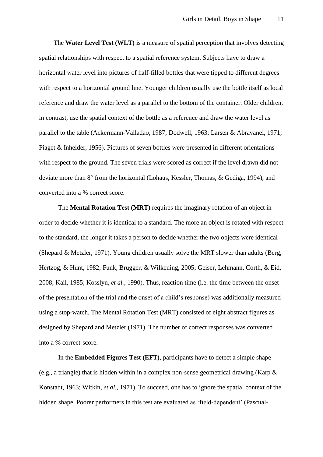The **Water Level Test (WLT)** is a measure of spatial perception that involves detecting spatial relationships with respect to a spatial reference system. Subjects have to draw a horizontal water level into pictures of half-filled bottles that were tipped to different degrees with respect to a horizontal ground line. Younger children usually use the bottle itself as local reference and draw the water level as a parallel to the bottom of the container. Older children, in contrast, use the spatial context of the bottle as a reference and draw the water level as parallel to the table [\(Ackermann-Valladao, 1987;](#page-23-7) [Dodwell, 1963;](#page-24-10) [Larsen & Abravanel, 1971;](#page-29-8) [Piaget & Inhelder, 1956\)](#page-32-5). Pictures of seven bottles were presented in different orientations with respect to the ground. The seven trials were scored as correct if the level drawn did not deviate more than 8° from the horizontal [\(Lohaus, Kessler, Thomas, & Gediga, 1994\)](#page-30-8), and converted into a % correct score.

The **Mental Rotation Test (MRT)** requires the imaginary rotation of an object in order to decide whether it is identical to a standard. The more an object is rotated with respect to the standard, the longer it takes a person to decide whether the two objects were identical [\(Shepard & Metzler, 1971\)](#page-33-8). Young children usually solve the MRT slower than adults [\(Berg,](#page-23-8)  [Hertzog, & Hunt, 1982;](#page-23-8) [Funk, Brugger, & Wilkening, 2005;](#page-25-5) [Geiser, Lehmann, Corth, & Eid,](#page-25-6)  [2008;](#page-25-6) [Kail, 1985;](#page-26-9) [Kosslyn](#page-27-8)*, et al.*, 1990). Thus, reaction time (i.e. the time between the onset of the presentation of the trial and the onset of a child's response) was additionally measured using a stop-watch. The Mental Rotation Test (MRT) consisted of eight abstract figures as designed by Shepard and Metzler (1971). The number of correct responses was converted into a % correct-score.

In the **Embedded Figures Test (EFT)**, participants have to detect a simple shape (e.g., a triangle) that is hidden within in a complex non-sense geometrical drawing [\(Karp &](#page-27-9)  [Konstadt, 1963;](#page-27-9) [Witkin](#page-35-4)*, et al.*, 1971). To succeed, one has to ignore the spatial context of the hidden shape. Poorer performers in this test are evaluated as 'field-dependent' [\(Pascual-](#page-31-6)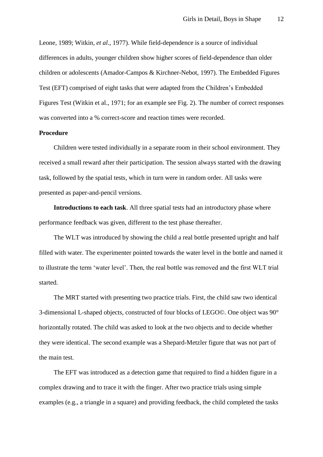[Leone, 1989;](#page-31-6) [Witkin](#page-35-3)*, et al.*, 1977). While field-dependence is a source of individual differences in adults, younger children show higher scores of field-dependence than older children or adolescents [\(Amador-Campos & Kirchner-Nebot, 1997\)](#page-23-9). The Embedded Figures Test (EFT) comprised of eight tasks that were adapted from the Children's Embedded Figures Test (Witkin et al., 1971; for an example see Fig. 2). The number of correct responses was converted into a % correct-score and reaction times were recorded.

#### **Procedure**

Children were tested individually in a separate room in their school environment. They received a small reward after their participation. The session always started with the drawing task, followed by the spatial tests, which in turn were in random order. All tasks were presented as paper-and-pencil versions.

**Introductions to each task**. All three spatial tests had an introductory phase where performance feedback was given, different to the test phase thereafter.

The WLT was introduced by showing the child a real bottle presented upright and half filled with water. The experimenter pointed towards the water level in the bottle and named it to illustrate the term 'water level'. Then, the real bottle was removed and the first WLT trial started.

The MRT started with presenting two practice trials. First, the child saw two identical 3-dimensional L-shaped objects, constructed of four blocks of LEGO©. One object was 90° horizontally rotated. The child was asked to look at the two objects and to decide whether they were identical. The second example was a Shepard-Metzler figure that was not part of the main test.

The EFT was introduced as a detection game that required to find a hidden figure in a complex drawing and to trace it with the finger. After two practice trials using simple examples (e.g., a triangle in a square) and providing feedback, the child completed the tasks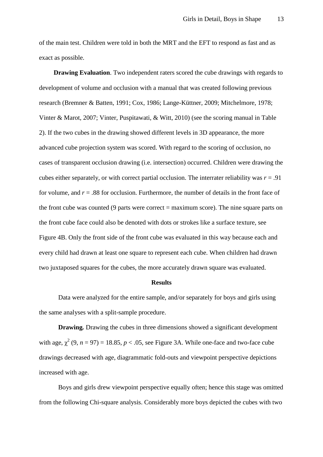of the main test. Children were told in both the MRT and the EFT to respond as fast and as exact as possible.

**Drawing Evaluation**. Two independent raters scored the cube drawings with regards to development of volume and occlusion with a manual that was created following previous research [\(Bremner & Batten, 1991;](#page-23-2) [Cox, 1986;](#page-24-5) [Lange-Küttner, 2009;](#page-28-3) [Mitchelmore, 1978;](#page-30-4) [Vinter & Marot, 2007;](#page-34-6) [Vinter, Puspitawati, & Witt, 2010\)](#page-34-7) (see the scoring manual in Table 2). If the two cubes in the drawing showed different levels in 3D appearance, the more advanced cube projection system was scored. With regard to the scoring of occlusion, no cases of transparent occlusion drawing (i.e. intersection) occurred. Children were drawing the cubes either separately, or with correct partial occlusion. The interrater reliability was  $r = .91$ for volume, and  $r = .88$  for occlusion. Furthermore, the number of details in the front face of the front cube was counted (9 parts were correct  $=$  maximum score). The nine square parts on the front cube face could also be denoted with dots or strokes like a surface texture, see Figure 4B. Only the front side of the front cube was evaluated in this way because each and every child had drawn at least one square to represent each cube. When children had drawn two juxtaposed squares for the cubes, the more accurately drawn square was evaluated.

#### **Results**

Data were analyzed for the entire sample, and/or separately for boys and girls using the same analyses with a split-sample procedure.

**Drawing***.* Drawing the cubes in three dimensions showed a significant development with age,  $\chi^2$  (9, *n* = 97) = 18.85, *p* < .05, see Figure 3A. While one-face and two-face cube drawings decreased with age, diagrammatic fold-outs and viewpoint perspective depictions increased with age.

Boys and girls drew viewpoint perspective equally often; hence this stage was omitted from the following Chi-square analysis. Considerably more boys depicted the cubes with two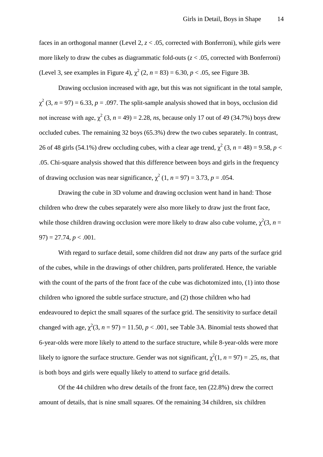faces in an orthogonal manner (Level 2, *z* < .05, corrected with Bonferroni), while girls were more likely to draw the cubes as diagrammatic fold-outs (*z* < .05, corrected with Bonferroni) (Level 3, see examples in Figure 4),  $\chi^2$  (2, *n* = 83) = 6.30, *p* < .05, see Figure 3B.

Drawing occlusion increased with age, but this was not significant in the total sample,  $\chi^2$  (3, *n* = 97) = 6.33, *p* = .097. The split-sample analysis showed that in boys, occlusion did not increase with age,  $\chi^2$  (3,  $n = 49$ ) = 2.28, *ns*, because only 17 out of 49 (34.7%) boys drew occluded cubes. The remaining 32 boys (65.3%) drew the two cubes separately. In contrast, 26 of 48 girls (54.1%) drew occluding cubes, with a clear age trend,  $\chi^2$  (3, *n* = 48) = 9.58, *p* < .05. Chi-square analysis showed that this difference between boys and girls in the frequency of drawing occlusion was near significance,  $\chi^2$  (1, *n* = 97) = 3.73, *p* = .054.

Drawing the cube in 3D volume and drawing occlusion went hand in hand: Those children who drew the cubes separately were also more likely to draw just the front face, while those children drawing occlusion were more likely to draw also cube volume,  $\chi^2(3, n =$  $97$ ) = 27.74,  $p < .001$ .

With regard to surface detail, some children did not draw any parts of the surface grid of the cubes, while in the drawings of other children, parts proliferated. Hence, the variable with the count of the parts of the front face of the cube was dichotomized into, (1) into those children who ignored the subtle surface structure, and (2) those children who had endeavoured to depict the small squares of the surface grid. The sensitivity to surface detail changed with age,  $\chi^2(3, n = 97) = 11.50, p < .001$ , see Table 3A. Binomial tests showed that 6-year-olds were more likely to attend to the surface structure, while 8-year-olds were more likely to ignore the surface structure. Gender was not significant,  $\chi^2(1, n = 97) = .25$ , *ns*, that is both boys and girls were equally likely to attend to surface grid details.

Of the 44 children who drew details of the front face, ten (22.8%) drew the correct amount of details, that is nine small squares. Of the remaining 34 children, six children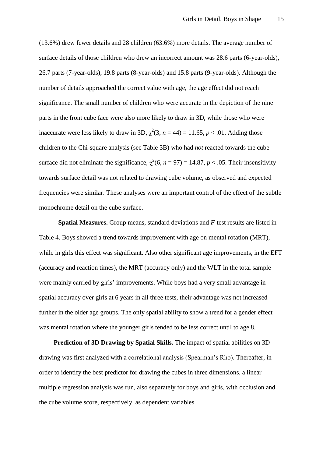(13.6%) drew fewer details and 28 children (63.6%) more details. The average number of surface details of those children who drew an incorrect amount was 28.6 parts (6-year-olds). 26.7 parts (7-year-olds), 19.8 parts (8-year-olds) and 15.8 parts (9-year-olds). Although the number of details approached the correct value with age, the age effect did not reach significance. The small number of children who were accurate in the depiction of the nine parts in the front cube face were also more likely to draw in 3D, while those who were inaccurate were less likely to draw in 3D,  $\chi^2(3, n = 44) = 11.65, p < .01$ . Adding those children to the Chi-square analysis (see Table 3B) who had *not* reacted towards the cube surface did not eliminate the significance,  $\chi^2(6, n = 97) = 14.87, p < .05$ . Their insensitivity towards surface detail was not related to drawing cube volume, as observed and expected frequencies were similar. These analyses were an important control of the effect of the subtle monochrome detail on the cube surface.

**Spatial Measures.** Group means, standard deviations and *F*-test results are listed in Table 4. Boys showed a trend towards improvement with age on mental rotation (MRT), while in girls this effect was significant. Also other significant age improvements, in the EFT (accuracy and reaction times), the MRT (accuracy only) and the WLT in the total sample were mainly carried by girls' improvements. While boys had a very small advantage in spatial accuracy over girls at 6 years in all three tests, their advantage was not increased further in the older age groups. The only spatial ability to show a trend for a gender effect was mental rotation where the younger girls tended to be less correct until to age 8.

**Prediction of 3D Drawing by Spatial Skills.** The impact of spatial abilities on 3D drawing was first analyzed with a correlational analysis (Spearman's Rho). Thereafter, in order to identify the best predictor for drawing the cubes in three dimensions, a linear multiple regression analysis was run, also separately for boys and girls, with occlusion and the cube volume score, respectively, as dependent variables.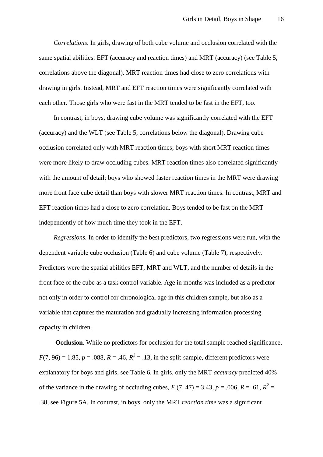*Correlations*. In girls, drawing of both cube volume and occlusion correlated with the same spatial abilities: EFT (accuracy and reaction times) and MRT (accuracy) (see Table 5, correlations above the diagonal). MRT reaction times had close to zero correlations with drawing in girls. Instead, MRT and EFT reaction times were significantly correlated with each other. Those girls who were fast in the MRT tended to be fast in the EFT, too.

In contrast, in boys, drawing cube volume was significantly correlated with the EFT (accuracy) and the WLT (see Table 5, correlations below the diagonal). Drawing cube occlusion correlated only with MRT reaction times; boys with short MRT reaction times were more likely to draw occluding cubes. MRT reaction times also correlated significantly with the amount of detail; boys who showed faster reaction times in the MRT were drawing more front face cube detail than boys with slower MRT reaction times. In contrast, MRT and EFT reaction times had a close to zero correlation. Boys tended to be fast on the MRT independently of how much time they took in the EFT.

*Regressions.* In order to identify the best predictors, two regressions were run, with the dependent variable cube occlusion (Table 6) and cube volume (Table 7), respectively. Predictors were the spatial abilities EFT, MRT and WLT, and the number of details in the front face of the cube as a task control variable. Age in months was included as a predictor not only in order to control for chronological age in this children sample, but also as a variable that captures the maturation and gradually increasing information processing capacity in children.

 **Occlusion***.* While no predictors for occlusion for the total sample reached significance,  $F(7, 96) = 1.85, p = .088, R = .46, R^2 = .13$ , in the split-sample, different predictors were explanatory for boys and girls, see Table 6. In girls, only the MRT *accuracy* predicted 40% of the variance in the drawing of occluding cubes,  $F(7, 47) = 3.43$ ,  $p = .006$ ,  $R = .61$ ,  $R^2 =$ .38, see Figure 5A. In contrast, in boys, only the MRT *reaction time* was a significant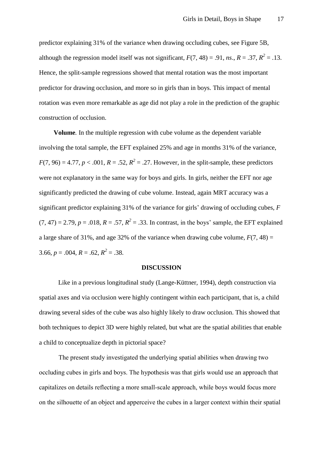predictor explaining 31% of the variance when drawing occluding cubes, see Figure 5B, although the regression model itself was not significant,  $F(7, 48) = .91$ , *ns.*,  $R = .37$ ,  $R^2 = .13$ . Hence, the split-sample regressions showed that mental rotation was the most important predictor for drawing occlusion, and more so in girls than in boys. This impact of mental rotation was even more remarkable as age did not play a role in the prediction of the graphic construction of occlusion.

**Volume***.* In the multiple regression with cube volume as the dependent variable involving the total sample, the EFT explained 25% and age in months 31% of the variance,  $F(7, 96) = 4.77, p < .001, R = .52, R^2 = .27$ . However, in the split-sample, these predictors were not explanatory in the same way for boys and girls. In girls, neither the EFT nor age significantly predicted the drawing of cube volume. Instead, again MRT accuracy was a significant predictor explaining 31% of the variance for girls' drawing of occluding cubes, *F*   $(7, 47) = 2.79$ ,  $p = .018$ ,  $R = .57$ ,  $R^2 = .33$ . In contrast, in the boys' sample, the EFT explained a large share of 31%, and age 32% of the variance when drawing cube volume,  $F(7, 48) =$ 3.66,  $p = .004$ ,  $R = .62$ ,  $R^2 = .38$ .

#### **DISCUSSION**

Like in a previous longitudinal study [\(Lange-Küttner, 1994\)](#page-27-4), depth construction via spatial axes and via occlusion were highly contingent within each participant, that is, a child drawing several sides of the cube was also highly likely to draw occlusion. This showed that both techniques to depict 3D were highly related, but what are the spatial abilities that enable a child to conceptualize depth in pictorial space?

The present study investigated the underlying spatial abilities when drawing two occluding cubes in girls and boys. The hypothesis was that girls would use an approach that capitalizes on details reflecting a more small-scale approach, while boys would focus more on the silhouette of an object and apperceive the cubes in a larger context within their spatial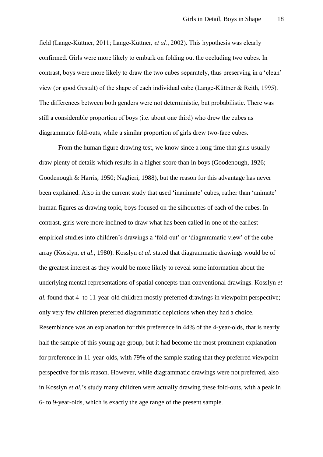field [\(Lange-Küttner, 2011;](#page-28-8) [Lange-Küttner](#page-28-4)*, et al.*, 2002). This hypothesis was clearly confirmed. Girls were more likely to embark on folding out the occluding two cubes. In contrast, boys were more likely to draw the two cubes separately, thus preserving in a 'clean' view (or good Gestalt) of the shape of each individual cube [\(Lange-Küttner & Reith, 1995\)](#page-29-9). The differences between both genders were not deterministic, but probabilistic. There was still a considerable proportion of boys (i.e. about one third) who drew the cubes as diagrammatic fold-outs, while a similar proportion of girls drew two-face cubes.

From the human figure drawing test, we know since a long time that girls usually draw plenty of details which results in a higher score than in boys [\(Goodenough, 1926;](#page-25-7) [Goodenough & Harris, 1950;](#page-25-8) [Naglieri, 1988\)](#page-31-7), but the reason for this advantage has never been explained. Also in the current study that used 'inanimate' cubes, rather than 'animate' human figures as drawing topic, boys focused on the silhouettes of each of the cubes. In contrast, girls were more inclined to draw what has been called in one of the earliest empirical studies into children's drawings a 'fold-out' or 'diagrammatic view' of the cube array [\(Kosslyn](#page-27-1)*, et al.*, 1980). Kosslyn *et al.* stated that diagrammatic drawings would be of the greatest interest as they would be more likely to reveal some information about the underlying mental representations of spatial concepts than conventional drawings. Kosslyn *et al.* found that 4- to 11-year-old children mostly preferred drawings in viewpoint perspective; only very few children preferred diagrammatic depictions when they had a choice. Resemblance was an explanation for this preference in 44% of the 4-year-olds, that is nearly half the sample of this young age group, but it had become the most prominent explanation for preference in 11-year-olds, with 79% of the sample stating that they preferred viewpoint perspective for this reason. However, while diagrammatic drawings were not preferred, also in Kosslyn *et al.*'s study many children were actually drawing these fold-outs, with a peak in 6- to 9-year-olds, which is exactly the age range of the present sample.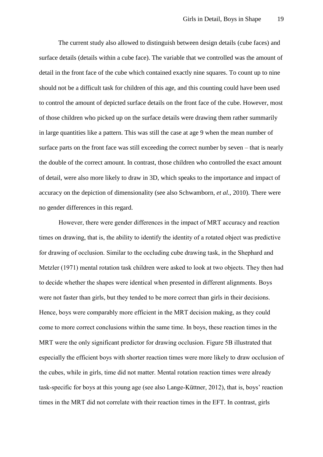The current study also allowed to distinguish between design details (cube faces) and surface details (details within a cube face). The variable that we controlled was the amount of detail in the front face of the cube which contained exactly nine squares. To count up to nine should not be a difficult task for children of this age, and this counting could have been used to control the amount of depicted surface details on the front face of the cube. However, most of those children who picked up on the surface details were drawing them rather summarily in large quantities like a pattern. This was still the case at age 9 when the mean number of surface parts on the front face was still exceeding the correct number by seven – that is nearly the double of the correct amount. In contrast, those children who controlled the exact amount of detail, were also more likely to draw in 3D, which speaks to the importance and impact of accuracy on the depiction of dimensionality [\(see also Schwamborn](#page-33-3)*, et al.*, 2010). There were no gender differences in this regard.

However, there were gender differences in the impact of MRT accuracy and reaction times on drawing, that is, the ability to identify the identity of a rotated object was predictive for drawing of occlusion. Similar to the occluding cube drawing task, in the Shephard and Metzler (1971) mental rotation task children were asked to look at two objects. They then had to decide whether the shapes were identical when presented in different alignments. Boys were not faster than girls, but they tended to be more correct than girls in their decisions. Hence, boys were comparably more efficient in the MRT decision making, as they could come to more correct conclusions within the same time. In boys, these reaction times in the MRT were the only significant predictor for drawing occlusion. Figure 5B illustrated that especially the efficient boys with shorter reaction times were more likely to draw occlusion of the cubes, while in girls, time did not matter. Mental rotation reaction times were already task-specific for boys at this young age [\(see also Lange-Küttner, 2012\)](#page-28-9), that is, boys' reaction times in the MRT did not correlate with their reaction times in the EFT. In contrast, girls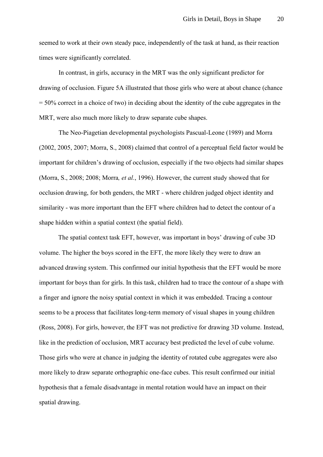seemed to work at their own steady pace, independently of the task at hand, as their reaction times were significantly correlated.

In contrast, in girls, accuracy in the MRT was the only significant predictor for drawing of occlusion. Figure 5A illustrated that those girls who were at about chance (chance = 50% correct in a choice of two) in deciding about the identity of the cube aggregates in the MRT, were also much more likely to draw separate cube shapes.

The Neo-Piagetian developmental psychologists Pascual-Leone (1989) and Morra [\(2002,](#page-30-9) [2005,](#page-31-8) [2007;](#page-31-9) [Morra, S., 2008\)](#page-31-10) claimed that control of a perceptual field factor would be important for children's drawing of occlusion, especially if the two objects had similar shapes [\(Morra, S., 2008;](#page-31-10) [2008;](#page-31-4) Morra*, et al.*[, 1996\)](#page-31-5). However, the current study showed that for occlusion drawing, for both genders, the MRT - where children judged object identity and similarity - was more important than the EFT where children had to detect the contour of a shape hidden within a spatial context (the spatial field).

The spatial context task EFT, however, was important in boys' drawing of cube 3D volume. The higher the boys scored in the EFT, the more likely they were to draw an advanced drawing system. This confirmed our initial hypothesis that the EFT would be more important for boys than for girls. In this task, children had to trace the contour of a shape with a finger and ignore the noisy spatial context in which it was embedded. Tracing a contour seems to be a process that facilitates long-term memory of visual shapes in young children [\(Ross, 2008\)](#page-32-6). For girls, however, the EFT was not predictive for drawing 3D volume. Instead, like in the prediction of occlusion, MRT accuracy best predicted the level of cube volume. Those girls who were at chance in judging the identity of rotated cube aggregates were also more likely to draw separate orthographic one-face cubes. This result confirmed our initial hypothesis that a female disadvantage in mental rotation would have an impact on their spatial drawing.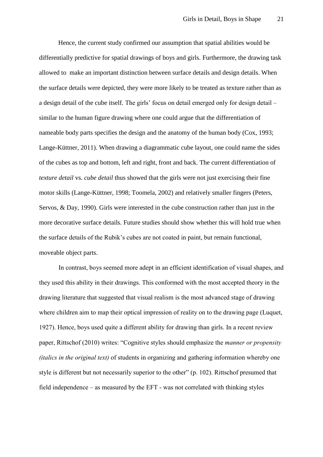Hence, the current study confirmed our assumption that spatial abilities would be differentially predictive for spatial drawings of boys and girls. Furthermore, the drawing task allowed to make an important distinction between surface details and design details. When the surface details were depicted, they were more likely to be treated as texture rather than as a design detail of the cube itself. The girls' focus on detail emerged only for design detail – similar to the human figure drawing where one could argue that the differentiation of nameable body parts specifies the design and the anatomy of the human body [\(Cox, 1993;](#page-24-11) [Lange-Küttner, 2011\)](#page-28-8). When drawing a diagrammatic cube layout, one could name the sides of the cubes as top and bottom, left and right, front and back. The current differentiation of *texture detail* vs. *cube detail* thus showed that the girls were not just exercising their fine motor skills [\(Lange-Küttner, 1998;](#page-27-11) [Toomela, 2002\)](#page-33-9) and relatively smaller fingers [\(Peters,](#page-32-7)  [Servos, & Day, 1990\)](#page-32-7). Girls were interested in the cube construction rather than just in the more decorative surface details. Future studies should show whether this will hold true when the surface details of the Rubik's cubes are not coated in paint, but remain functional, moveable object parts.

In contrast, boys seemed more adept in an efficient identification of visual shapes, and they used this ability in their drawings. This conformed with the most accepted theory in the drawing literature that suggested that visual realism is the most advanced stage of drawing where children aim to map their optical impression of reality on to the drawing page [\(Luquet,](#page-30-5)  [1927\)](#page-30-5). Hence, boys used quite a different ability for drawing than girls. In a recent review paper, Rittschof [\(2010\)](#page-32-8) writes: "Cognitive styles should emphasize the *manner or propensity (italics in the original text)* of students in organizing and gathering information whereby one style is different but not necessarily superior to the other" (p. 102). Rittschof presumed that field independence – as measured by the EFT - was not correlated with thinking styles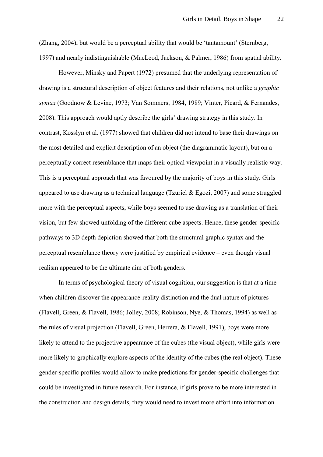[\(Zhang, 2004\)](#page-35-5), but would be a perceptual ability that would be 'tantamount' [\(Sternberg,](#page-33-10)  [1997\)](#page-33-10) and nearly indistinguishable [\(MacLeod, Jackson, & Palmer, 1986\)](#page-30-10) from spatial ability.

However, Minsky and Papert (1972) presumed that the underlying representation of drawing is a structural description of object features and their relations, not unlike a *graphic syntax* [\(Goodnow & Levine, 1973;](#page-25-9) [Van Sommers, 1984,](#page-34-8) [1989;](#page-34-9) [Vinter, Picard, & Fernandes,](#page-34-10)  [2008\)](#page-34-10). This approach would aptly describe the girls' drawing strategy in this study. In contrast, Kosslyn et al. (1977) showed that children did not intend to base their drawings on the most detailed and explicit description of an object (the diagrammatic layout), but on a perceptually correct resemblance that maps their optical viewpoint in a visually realistic way. This is a perceptual approach that was favoured by the majority of boys in this study. Girls appeared to use drawing as a technical language [\(Tzuriel & Egozi, 2007\)](#page-33-2) and some struggled more with the perceptual aspects, while boys seemed to use drawing as a translation of their vision, but few showed unfolding of the different cube aspects. Hence, these gender-specific pathways to 3D depth depiction showed that both the structural graphic syntax and the perceptual resemblance theory were justified by empirical evidence – even though visual realism appeared to be the ultimate aim of both genders.

In terms of psychological theory of visual cognition, our suggestion is that at a time when children discover the appearance-reality distinction and the dual nature of pictures [\(Flavell, Green, & Flavell, 1986;](#page-25-10) [Jolley, 2008;](#page-26-10) [Robinson, Nye, & Thomas, 1994\)](#page-32-9) as well as the rules of visual projection [\(Flavell, Green, Herrera, & Flavell, 1991\)](#page-25-11), boys were more likely to attend to the projective appearance of the cubes (the visual object), while girls were more likely to graphically explore aspects of the identity of the cubes (the real object). These gender-specific profiles would allow to make predictions for gender-specific challenges that could be investigated in future research. For instance, if girls prove to be more interested in the construction and design details, they would need to invest more effort into information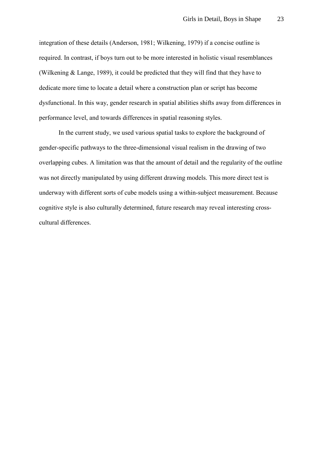integration of these details [\(Anderson, 1981;](#page-23-10) [Wilkening, 1979\)](#page-35-6) if a concise outline is required. In contrast, if boys turn out to be more interested in holistic visual resemblances [\(Wilkening & Lange, 1989\)](#page-35-7), it could be predicted that they will find that they have to dedicate more time to locate a detail where a construction plan or script has become dysfunctional. In this way, gender research in spatial abilities shifts away from differences in performance level, and towards differences in spatial reasoning styles.

In the current study, we used various spatial tasks to explore the background of gender-specific pathways to the three-dimensional visual realism in the drawing of two overlapping cubes. A limitation was that the amount of detail and the regularity of the outline was not directly manipulated by using different drawing models. This more direct test is underway with different sorts of cube models using a within-subject measurement. Because cognitive style is also culturally determined, future research may reveal interesting crosscultural differences.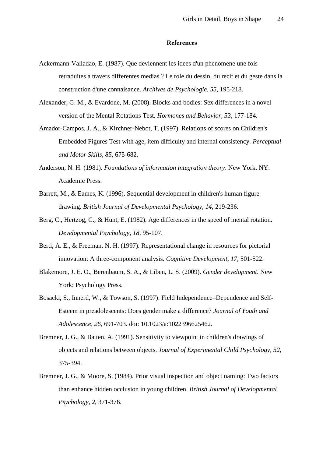#### **References**

- <span id="page-23-7"></span>Ackermann-Valladao, E. (1987). Que deviennent les idees d'un phenomene une fois retraduites a travers differentes medias ? Le role du dessin, du recit et du geste dans la construction d'une connaisance. *Archives de Psychologie, 55*, 195-218.
- <span id="page-23-5"></span>Alexander, G. M., & Evardone, M. (2008). Blocks and bodies: Sex differences in a novel version of the Mental Rotations Test. *Hormones and Behavior, 53*, 177-184.
- <span id="page-23-9"></span>Amador-Campos, J. A., & Kirchner-Nebot, T. (1997). Relations of scores on Children's Embedded Figures Test with age, item difficulty and internal consistency. *Perceptual and Motor Skills, 85*, 675-682.
- <span id="page-23-10"></span>Anderson, N. H. (1981). *Foundations of information integration theory*. New York, NY: Academic Press.
- <span id="page-23-3"></span>Barrett, M., & Eames, K. (1996). Sequential development in children's human figure drawing. *British Journal of Developmental Psychology, 14*, 219-236.
- <span id="page-23-8"></span>Berg, C., Hertzog, C., & Hunt, E. (1982). Age differences in the speed of mental rotation. *Developmental Psychology, 18*, 95-107.
- <span id="page-23-4"></span>Berti, A. E., & Freeman, N. H. (1997). Representational change in resources for pictorial innovation: A three-component analysis. *Cognitive Development, 17*, 501-522.
- <span id="page-23-0"></span>Blakemore, J. E. O., Berenbaum, S. A., & Liben, L. S. (2009). *Gender development*. New York: Psychology Press.
- <span id="page-23-6"></span>Bosacki, S., Innerd, W., & Towson, S. (1997). Field Independence–Dependence and Self-Esteem in preadolescents: Does gender make a difference? *Journal of Youth and Adolescence, 26*, 691-703. doi: 10.1023/a:1022396625462.
- <span id="page-23-2"></span>Bremner, J. G., & Batten, A. (1991). Sensitivity to viewpoint in children's drawings of objects and relations between objects. *Journal of Experimental Child Psychology, 52*, 375-394.
- <span id="page-23-1"></span>Bremner, J. G., & Moore, S. (1984). Prior visual inspection and object naming: Two factors than enhance hidden occlusion in young children. *British Journal of Developmental Psychology, 2*, 371-376.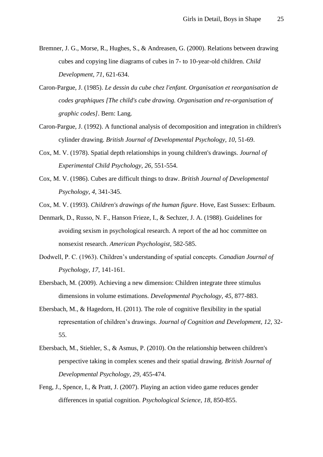- <span id="page-24-1"></span>Bremner, J. G., Morse, R., Hughes, S., & Andreasen, G. (2000). Relations between drawing cubes and copying line diagrams of cubes in 7- to 10-year-old children. *Child Development, 71*, 621-634.
- <span id="page-24-2"></span>Caron-Pargue, J. (1985). *Le dessin du cube chez l'enfant. Organisation et reorganisation de codes graphiques [The child's cube drawing. Organisation and re-organisation of graphic codes]*. Bern: Lang.
- <span id="page-24-3"></span>Caron-Pargue, J. (1992). A functional analysis of decomposition and integration in children's cylinder drawing. *British Journal of Developmental Psychology, 10*, 51-69.
- <span id="page-24-4"></span>Cox, M. V. (1978). Spatial depth relationships in young children's drawings. *Journal of Experimental Child Psychology, 26*, 551-554.
- <span id="page-24-5"></span>Cox, M. V. (1986). Cubes are difficult things to draw. *British Journal of Developmental Psychology, 4*, 341-345.

<span id="page-24-11"></span>Cox, M. V. (1993). *Children's drawings of the human figure*. Hove, East Sussex: Erlbaum.

- <span id="page-24-9"></span>Denmark, D., Russo, N. F., Hanson Frieze, I., & Sechzer, J. A. (1988). Guidelines for avoiding sexism in psychological research. A report of the ad hoc committee on nonsexist research. *American Psychologist*, 582-585.
- <span id="page-24-10"></span>Dodwell, P. C. (1963). Children's understanding of spatial concepts. *Canadian Journal of Psychology, 17*, 141-161.
- <span id="page-24-6"></span>Ebersbach, M. (2009). Achieving a new dimension: Children integrate three stimulus dimensions in volume estimations. *Developmental Psychology, 45*, 877-883.
- <span id="page-24-8"></span>Ebersbach, M., & Hagedorn, H. (2011). The role of cognitive flexibility in the spatial representation of children's drawings. *Journal of Cognition and Development, 12*, 32- 55.
- <span id="page-24-7"></span>Ebersbach, M., Stiehler, S., & Asmus, P. (2010). On the relationship between children's perspective taking in complex scenes and their spatial drawing. *British Journal of Developmental Psychology, 29*, 455-474.
- <span id="page-24-0"></span>Feng, J., Spence, I., & Pratt, J. (2007). Playing an action video game reduces gender differences in spatial cognition. *Psychological Science, 18*, 850-855.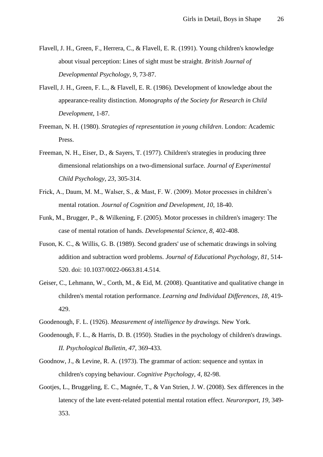- <span id="page-25-11"></span>Flavell, J. H., Green, F., Herrera, C., & Flavell, E. R. (1991). Young children's knowledge about visual perception: Lines of sight must be straight. *British Journal of Developmental Psychology, 9*, 73-87.
- <span id="page-25-10"></span>Flavell, J. H., Green, F. L., & Flavell, E. R. (1986). Development of knowledge about the appearance-reality distinction. *Monographs of the Society for Research in Child Development*, 1-87.
- <span id="page-25-2"></span>Freeman, N. H. (1980). *Strategies of representation in young children*. London: Academic Press.
- <span id="page-25-1"></span>Freeman, N. H., Eiser, D., & Sayers, T. (1977). Children's strategies in producing three dimensional relationships on a two-dimensional surface. *Journal of Experimental Child Psychology, 23*, 305-314.
- <span id="page-25-3"></span>Frick, A., Daum, M. M., Walser, S., & Mast, F. W. (2009). Motor processes in children's mental rotation. *Journal of Cognition and Development, 10*, 18-40.
- <span id="page-25-5"></span>Funk, M., Brugger, P., & Wilkening, F. (2005). Motor processes in children's imagery: The case of mental rotation of hands. *Developmental Science, 8*, 402-408.
- <span id="page-25-0"></span>Fuson, K. C., & Willis, G. B. (1989). Second graders' use of schematic drawings in solving addition and subtraction word problems. *Journal of Educational Psychology, 81*, 514- 520. doi: 10.1037/0022-0663.81.4.514.
- <span id="page-25-6"></span>Geiser, C., Lehmann, W., Corth, M., & Eid, M. (2008). Quantitative and qualitative change in children's mental rotation performance. *Learning and Individual Differences, 18*, 419- 429.
- <span id="page-25-7"></span>Goodenough, F. L. (1926). *Measurement of intelligence by drawings.* New York.
- <span id="page-25-8"></span>Goodenough, F. L., & Harris, D. B. (1950). Studies in the psychology of children's drawings. *II. Psychological Bulletin, 47*, 369-433.
- <span id="page-25-9"></span>Goodnow, J., & Levine, R. A. (1973). The grammar of action: sequence and syntax in children's copying behaviour. *Cognitive Psychology, 4*, 82-98.
- <span id="page-25-4"></span>Gootjes, L., Bruggeling, E. C., Magnée, T., & Van Strien, J. W. (2008). Sex differences in the latency of the late event-related potential mental rotation effect. *Neuroreport, 19*, 349- 353.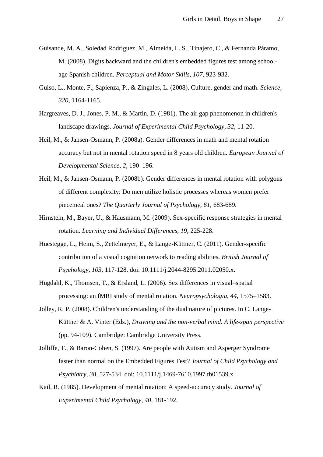- <span id="page-26-8"></span>Guisande, M. A., Soledad Rodríguez, M., Almeida, L. S., Tinajero, C., & Fernanda Páramo, M. (2008). Digits backward and the children's embedded figures test among schoolage Spanish children. *Perceptual and Motor Skills, 107*, 923-932.
- <span id="page-26-1"></span>Guiso, L., Monte, F., Sapienza, P., & Zingales, L. (2008). Culture, gender and math. *Science, 320*, 1164-1165.
- <span id="page-26-2"></span>Hargreaves, D. J., Jones, P. M., & Martin, D. (1981). The air gap phenomenon in children's landscape drawings. *Journal of Experimental Child Psychology, 32*, 11-20.
- <span id="page-26-3"></span>Heil, M., & Jansen-Osmann, P. (2008a). Gender differences in math and mental rotation accuracy but not in mental rotation speed in 8 years old children. *European Journal of Developmental Science, 2*, 190–196.
- <span id="page-26-4"></span>Heil, M., & Jansen-Osmann, P. (2008b). Gender differences in mental rotation with polygons of different complexity: Do men utilize holistic processes whereas women prefer piecemeal ones? *The Quarterly Journal of Psychology, 61*, 683-689.
- <span id="page-26-5"></span>Hirnstein, M., Bayer, U., & Hausmann, M. (2009). Sex-specific response strategies in mental rotation. *Learning and Individual Differences, 19*, 225-228.
- <span id="page-26-0"></span>Huestegge, L., Heim, S., Zettelmeyer, E., & Lange-Küttner, C. (2011). Gender-specific contribution of a visual cognition network to reading abilities. *British Journal of Psychology, 103*, 117-128. doi: 10.1111/j.2044-8295.2011.02050.x.
- <span id="page-26-6"></span>Hugdahl, K., Thomsen, T., & Ersland, L. (2006). Sex differences in visual–spatial processing: an fMRI study of mental rotation. *Neuropsychologia, 44*, 1575–1583.
- <span id="page-26-10"></span>Jolley, R. P. (2008). Children's understanding of the dual nature of pictures. In C. Lange-Küttner & A. Vinter (Eds.), *Drawing and the non-verbal mind. A life-span perspective* (pp. 94-109). Cambridge: Cambridge University Press.
- <span id="page-26-7"></span>Jolliffe, T., & Baron-Cohen, S. (1997). Are people with Autism and Asperger Syndrome faster than normal on the Embedded Figures Test? *Journal of Child Psychology and Psychiatry, 38*, 527-534. doi: 10.1111/j.1469-7610.1997.tb01539.x.
- <span id="page-26-9"></span>Kail, R. (1985). Development of mental rotation: A speed-accuracy study. *Journal of Experimental Child Psychology, 40*, 181-192.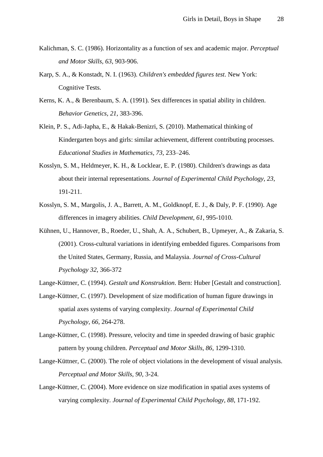- <span id="page-27-6"></span>Kalichman, S. C. (1986). Horizontality as a function of sex and academic major. *Perceptual and Motor Skills, 63*, 903-906.
- <span id="page-27-9"></span>Karp, S. A., & Konstadt, N. I. (1963). *Children's embedded figures test*. New York: Cognitive Tests.
- <span id="page-27-7"></span>Kerns, K. A., & Berenbaum, S. A. (1991). Sex differences in spatial ability in children. *Behavior Genetics, 21*, 383-396.
- <span id="page-27-0"></span>Klein, P. S., Adi-Japha, E., & Hakak-Benizri, S. (2010). Mathematical thinking of Kindergarten boys and girls: similar achievement, different contributing processes. *Educational Studies in Mathematics, 73*, 233–246.
- <span id="page-27-1"></span>Kosslyn, S. M., Heldmeyer, K. H., & Locklear, E. P. (1980). Children's drawings as data about their internal representations. *Journal of Experimental Child Psychology, 23*, 191-211.
- <span id="page-27-8"></span>Kosslyn, S. M., Margolis, J. A., Barrett, A. M., Goldknopf, E. J., & Daly, P. F. (1990). Age differences in imagery abilities. *Child Development, 61*, 995-1010.
- <span id="page-27-10"></span>Kühnen, U., Hannover, B., Roeder, U., Shah, A. A., Schubert, B., Upmeyer, A., & Zakaria, S. (2001). Cross-cultural variations in identifying embedded figures. Comparisons from the United States, Germany, Russia, and Malaysia. *Journal of Cross-Cultural Psychology 32*, 366-372
- <span id="page-27-4"></span>Lange-Küttner, C. (1994). *Gestalt und Konstruktion*. Bern: Huber [Gestalt and construction].
- <span id="page-27-2"></span>Lange-Küttner, C. (1997). Development of size modification of human figure drawings in spatial axes systems of varying complexity. *Journal of Experimental Child Psychology, 66*, 264-278.
- <span id="page-27-11"></span>Lange-Küttner, C. (1998). Pressure, velocity and time in speeded drawing of basic graphic pattern by young children. *Perceptual and Motor Skills, 86*, 1299-1310.
- <span id="page-27-5"></span>Lange-Küttner, C. (2000). The role of object violations in the development of visual analysis. *Perceptual and Motor Skills, 90*, 3-24.
- <span id="page-27-3"></span>Lange-Küttner, C. (2004). More evidence on size modification in spatial axes systems of varying complexity. *Journal of Experimental Child Psychology, 88*, 171-192.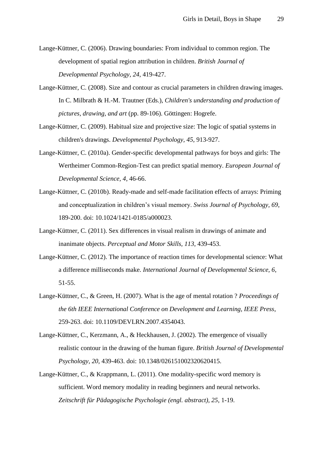- <span id="page-28-5"></span>Lange-Küttner, C. (2006). Drawing boundaries: From individual to common region. The development of spatial region attribution in children. *British Journal of Developmental Psychology, 24*, 419-427.
- <span id="page-28-2"></span>Lange-Küttner, C. (2008). Size and contour as crucial parameters in children drawing images. In C. Milbrath & H.-M. Trautner (Eds.), *Children's understanding and production of pictures, drawing, and art* (pp. 89-106). Göttingen: Hogrefe.
- <span id="page-28-3"></span>Lange-Küttner, C. (2009). Habitual size and projective size: The logic of spatial systems in children's drawings. *Developmental Psychology, 45*, 913-927.
- <span id="page-28-6"></span>Lange-Küttner, C. (2010a). Gender-specific developmental pathways for boys and girls: The Wertheimer Common-Region-Test can predict spatial memory. *European Journal of Developmental Science, 4*, 46-66.
- <span id="page-28-7"></span>Lange-Küttner, C. (2010b). Ready-made and self-made facilitation effects of arrays: Priming and conceptualization in children's visual memory. *Swiss Journal of Psychology, 69*, 189-200. doi: 10.1024/1421-0185/a000023.
- <span id="page-28-8"></span>Lange-Küttner, C. (2011). Sex differences in visual realism in drawings of animate and inanimate objects. *Perceptual and Motor Skills, 113*, 439-453.
- <span id="page-28-9"></span>Lange-Küttner, C. (2012). The importance of reaction times for developmental science: What a difference milliseconds make. *International Journal of Developmental Science, 6*, 51-55.
- <span id="page-28-1"></span>Lange-Küttner, C., & Green, H. (2007). What is the age of mental rotation ? *Proceedings of the 6th IEEE International Conference on Development and Learning, IEEE Press*, 259-263. doi: 10.1109/DEVLRN.2007.4354043.
- <span id="page-28-4"></span>Lange-Küttner, C., Kerzmann, A., & Heckhausen, J. (2002). The emergence of visually realistic contour in the drawing of the human figure. *British Journal of Developmental Psychology, 20*, 439-463. doi: 10.1348/026151002320620415.
- <span id="page-28-0"></span>Lange-Küttner, C., & Krappmann, L. (2011). One modality-specific word memory is sufficient. Word memory modality in reading beginners and neural networks. *Zeitschrift für Pädagogische Psychologie (engl. abstract), 25*, 1-19.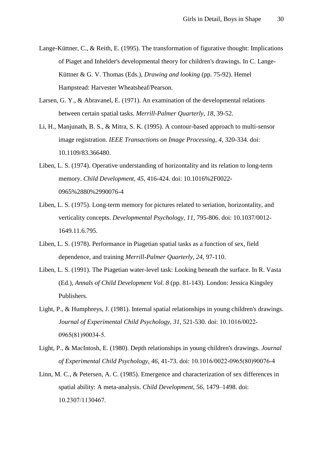- <span id="page-29-9"></span>Lange-Küttner, C., & Reith, E. (1995). The transformation of figurative thought: Implications of Piaget and Inhelder's developmental theory for children's drawings. In C. Lange-Küttner & G. V. Thomas (Eds.), *Drawing and looking* (pp. 75-92). Hemel Hampstead: Harvester Wheatsheaf/Pearson.
- <span id="page-29-8"></span>Larsen, G. Y., & Abravanel, E. (1971). An examination of the developmental relations between certain spatial tasks. *Merrill-Palmer Quarterly, 18*, 39-52.
- <span id="page-29-7"></span>Li, H., Manjunath, B. S., & Mitra, S. K. (1995). A contour-based approach to multi-sensor image registration. *IEEE Transactions on Image Processing, 4*, 320-334. doi: 10.1109/83.366480.
- <span id="page-29-5"></span><span id="page-29-2"></span>Liben, L. S. (1974). Operative understanding of horizontality and its relation to long-term memory. *Child Development, 45*, 416-424. doi: 10.1016%2F0022- 0965%2880%2990076-4
- Liben, L. S. (1975). Long-term memory for pictures related to seriation, horizontality, and verticality concepts. *Developmental Psychology, 11*, 795-806. doi: 10.1037/0012- 1649.11.6.795.
- <span id="page-29-3"></span>Liben, L. S. (1978). Performance in Piagetian spatial tasks as a function of sex, field dependence, and training *Merrill-Palmer Quarterly, 24*, 97-110.
- <span id="page-29-4"></span>Liben, L. S. (1991). The Piagetian water-level task: Looking beneath the surface. In R. Vasta (Ed.), *Annals of Child Development Vol. 8* (pp. 81-143). London: Jessica Kingsley Publishers.
- <span id="page-29-0"></span>Light, P., & Humphreys, J. (1981). Internal spatial relationships in young children's drawings. *Journal of Experimental Child Psychology, 31*, 521-530. doi: 10.1016/0022- 0965(81)90034-5.
- <span id="page-29-1"></span>Light, P., & MacIntosh, E. (1980). Depth relationships in young children's drawings. *Journal of Experimental Child Psychology, 46*, 41-73. doi: 10.1016/0022-0965(80)90076-4
- <span id="page-29-6"></span>Linn, M. C., & Petersen, A. C. (1985). Emergence and characterization of sex differences in spatial ability: A meta-analysis. *Child Development, 56*, 1479–1498. doi: 10.2307/1130467.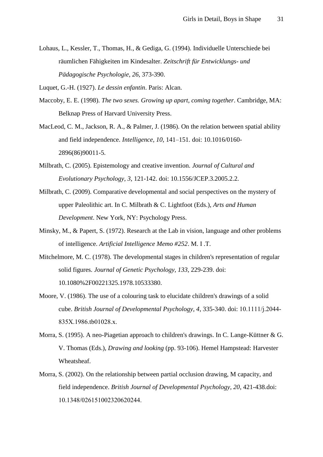<span id="page-30-8"></span>Lohaus, L., Kessler, T., Thomas, H., & Gediga, G. (1994). Individuelle Unterschiede bei räumlichen Fähigkeiten im Kindesalter. *Zeitschrift für Entwicklungs- und Pädagogische Psychologie, 26*, 373-390.

<span id="page-30-5"></span>Luquet, G.-H. (1927). *Le dessin enfantin*. Paris: Alcan.

- <span id="page-30-0"></span>Maccoby, E. E. (1998). *The two sexes. Growing up apart, coming together*. Cambridge, MA: Belknap Press of Harvard University Press.
- <span id="page-30-10"></span>MacLeod, C. M., Jackson, R. A., & Palmer, J. (1986). On the relation between spatial ability and field independence. *Intelligence, 10*, 141–151. doi: 10.1016/0160- 2896(86)90011-5.
- <span id="page-30-1"></span>Milbrath, C. (2005). Epistemology and creative invention. *Journal of Cultural and Evolutionary Psychology, 3*, 121-142. doi: 10.1556/JCEP.3.2005.2.2.
- <span id="page-30-2"></span>Milbrath, C. (2009). Comparative developmental and social perspectives on the mystery of upper Paleolithic art. In C. Milbrath & C. Lightfoot (Eds.), *Arts and Human Development*. New York, NY: Psychology Press.
- <span id="page-30-3"></span>Minsky, M., & Papert, S. (1972). Research at the Lab in vision, language and other problems of intelligence. *Artificial Intelligence Memo #252*. M. I .T.
- <span id="page-30-4"></span>Mitchelmore, M. C. (1978). The developmental stages in children's representation of regular solid figures. *Journal of Genetic Psychology, 133*, 229-239. doi: 10.1080%2F00221325.1978.10533380.
- <span id="page-30-7"></span>Moore, V. (1986). The use of a colouring task to elucidate children's drawings of a solid cube. *British Journal of Developmental Psychology, 4*, 335-340. doi: 10.1111/j.2044- 835X.1986.tb01028.x.
- <span id="page-30-6"></span>Morra, S. (1995). A neo-Piagetian approach to children's drawings. In C. Lange-Küttner & G. V. Thomas (Eds.), *Drawing and looking* (pp. 93-106). Hemel Hampstead: Harvester Wheatsheaf.
- <span id="page-30-9"></span>Morra, S. (2002). On the relationship between partial occlusion drawing, M capacity, and field independence. *British Journal of Developmental Psychology, 20*, 421-438.doi: 10.1348/026151002320620244.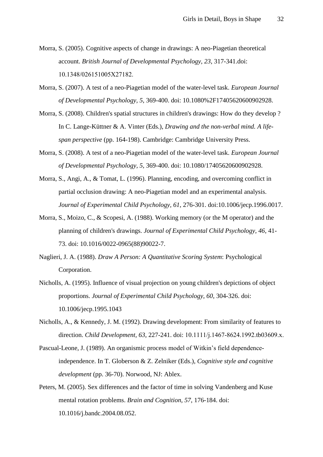- <span id="page-31-8"></span>Morra, S. (2005). Cognitive aspects of change in drawings: A neo-Piagetian theoretical account. *British Journal of Developmental Psychology, 23*, 317-341.doi: 10.1348/026151005X27182.
- <span id="page-31-10"></span><span id="page-31-9"></span>Morra, S. (2007). A test of a neo-Piagetian model of the water-level task. *European Journal of Developmental Psychology, 5*, 369-400. doi: 10.1080%2F17405620600902928.
- Morra, S. (2008). Children's spatial structures in children's drawings: How do they develop ? In C. Lange-Küttner & A. Vinter (Eds.), *Drawing and the non-verbal mind. A lifespan perspective* (pp. 164-198). Cambridge: Cambridge University Press.
- <span id="page-31-4"></span>Morra, S. (2008). A test of a neo-Piagetian model of the water-level task. *European Journal of Developmental Psychology, 5*, 369-400. doi: 10.1080/17405620600902928.
- <span id="page-31-5"></span>Morra, S., Angi, A., & Tomat, L. (1996). Planning, encoding, and overcoming conflict in partial occlusion drawing: A neo-Piagetian model and an experimental analysis. *Journal of Experimental Child Psychology, 61*, 276-301. doi:10.1006/jecp.1996.0017.
- <span id="page-31-3"></span>Morra, S., Moizo, C., & Scopesi, A. (1988). Working memory (or the M operator) and the planning of children's drawings. *Journal of Experimental Child Psychology, 46*, 41- 73. doi: 10.1016/0022-0965(88)90022-7.
- <span id="page-31-7"></span>Naglieri, J. A. (1988). *Draw A Person: A Quantitative Scoring System*: Psychological Corporation.
- <span id="page-31-1"></span>Nicholls, A. (1995). Influence of visual projection on young children's depictions of object proportions. *Journal of Experimental Child Psychology, 60*, 304-326. doi: 10.1006/jecp.1995.1043
- <span id="page-31-2"></span>Nicholls, A., & Kennedy, J. M. (1992). Drawing development: From similarity of features to direction. *Child Development, 63*, 227-241. doi: 10.1111/j.1467-8624.1992.tb03609.x.
- <span id="page-31-6"></span>Pascual-Leone, J. (1989). An organismic process model of Witkin's field dependenceindependence. In T. Globerson & Z. Zelniker (Eds.), *Cognitive style and cognitive development* (pp. 36-70). Norwood, NJ: Ablex.
- <span id="page-31-0"></span>Peters, M. (2005). Sex differences and the factor of time in solving Vandenberg and Kuse mental rotation problems. *Brain and Cognition, 57*, 176-184. doi: 10.1016/j.bandc.2004.08.052.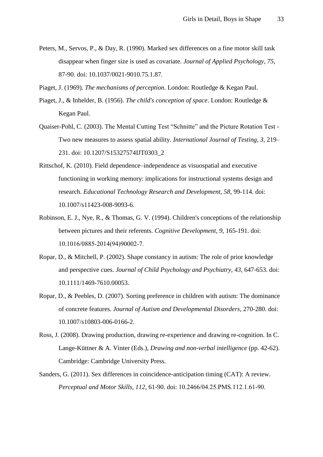- <span id="page-32-7"></span>Peters, M., Servos, P., & Day, R. (1990). Marked sex differences on a fine motor skill task disappear when finger size is used as covariate. *Journal of Applied Psychology, 75*, 87-90. doi: 10.1037/0021-9010.75.1.87.
- <span id="page-32-1"></span>Piaget, J. (1969). *The mechanisms of perception*. London: Routledge & Kegan Paul.
- <span id="page-32-5"></span>Piaget, J., & Inhelder, B. (1956). *The child's conception of space*. London: Routledge & Kegan Paul.
- <span id="page-32-4"></span>Quaiser-Pohl, C. (2003). The Mental Cutting Test "Schnitte" and the Picture Rotation Test - Two new measures to assess spatial ability. *International Journal of Testing, 3*, 219– 231. doi: 10.1207/S15327574IJT0303\_2
- <span id="page-32-8"></span>Rittschof, K. (2010). Field dependence–independence as visuospatial and executive functioning in working memory: implications for instructional systems design and research. *Educational Technology Research and Development, 58*, 99-114. doi: 10.1007/s11423-008-9093-6.
- <span id="page-32-9"></span>Robinson, E. J., Nye, R., & Thomas, G. V. (1994). Children's conceptions of the relationship between pictures and their referents. *Cognitive Development, 9*, 165-191. doi: 10.1016/0885-2014(94)90002-7.
- <span id="page-32-2"></span>Ropar, D., & Mitchell, P. (2002). Shape constancy in autism: The role of prior knowledge and perspective cues. *Journal of Child Psychology and Psychiatry, 43*, 647-653. doi: 10.1111/1469-7610.00053.
- <span id="page-32-3"></span>Ropar, D., & Peebles, D. (2007). Sorting preference in children with autism: The dominance of concrete features. *Journal of Autism and Developmental Disorders*, 270-280. doi: 10.1007/s10803-006-0166-2.
- <span id="page-32-6"></span>Ross, J. (2008). Drawing production, drawing re-experience and drawing re-cognition. In C. Lange-Küttner & A. Vinter (Eds.), *Drawing and non-verbal intelligence* (pp. 42-62). Cambridge: Cambridge University Press.
- <span id="page-32-0"></span>Sanders, G. (2011). Sex differences in coincidence-anticipation timing (CAT): A review. *Perceptual and Motor Skills, 112*, 61-90. doi: 10.2466/04.25.PMS.112.1.61-90.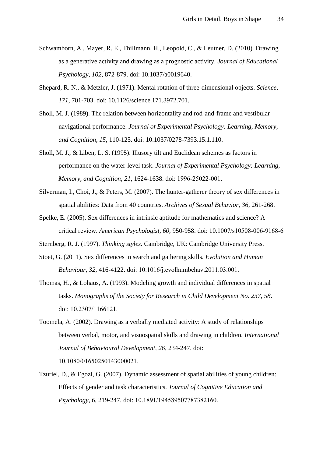- <span id="page-33-3"></span>Schwamborn, A., Mayer, R. E., Thillmann, H., Leopold, C., & Leutner, D. (2010). Drawing as a generative activity and drawing as a prognostic activity. *Journal of Educational Psychology, 102*, 872-879. doi: 10.1037/a0019640.
- <span id="page-33-8"></span>Shepard, R. N., & Metzler, J. (1971). Mental rotation of three-dimensional objects. *Science, 171*, 701-703. doi: 10.1126/science.171.3972.701.
- <span id="page-33-4"></span>Sholl, M. J. (1989). The relation between horizontality and rod-and-frame and vestibular navigational performance. *Journal of Experimental Psychology: Learning, Memory, and Cognition, 15*, 110-125. doi: 10.1037/0278-7393.15.1.110.
- <span id="page-33-5"></span>Sholl, M. J., & Liben, L. S. (1995). Illusory tilt and Euclidean schemes as factors in performance on the water-level task. *Journal of Experimental Psychology: Learning, Memory, and Cognition, 21*, 1624-1638. doi: 1996-25022-001.
- <span id="page-33-7"></span>Silverman, I., Choi, J., & Peters, M. (2007). The hunter-gatherer theory of sex differences in spatial abilities: Data from 40 countries. *Archives of Sexual Behavior, 36*, 261-268.
- <span id="page-33-1"></span>Spelke, E. (2005). Sex differences in intrinsic aptitude for mathematics and science? A critical review. *American Psychologist, 60*, 950-958. doi: 10.1007/s10508-006-9168-6
- <span id="page-33-10"></span>Sternberg, R. J. (1997). *Thinking styles*. Cambridge, UK: Cambridge University Press.
- <span id="page-33-0"></span>Stoet, G. (2011). Sex differences in search and gathering skills. *Evolution and Human Behaviour, 32*, 416-4122. doi: 10.1016/j.evolhumbehav.2011.03.001.
- <span id="page-33-6"></span>Thomas, H., & Lohaus, A. (1993). Modeling growth and individual differences in spatial tasks. *Monographs of the Society for Research in Child Development No. 237, 58*. doi: 10.2307/1166121.
- <span id="page-33-9"></span>Toomela, A. (2002). Drawing as a verbally mediated activity: A study of relationships between verbal, motor, and visuospatial skills and drawing in children. *International Journal of Behavioural Development, 26*, 234-247. doi: 10.1080/01650250143000021.
- <span id="page-33-2"></span>Tzuriel, D., & Egozi, G. (2007). Dynamic assessment of spatial abilities of young children: Effects of gender and task characteristics. *Journal of Cognitive Education and Psychology, 6*, 219-247. doi: 10.1891/194589507787382160.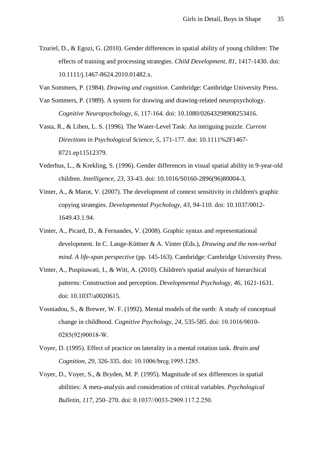- <span id="page-34-0"></span>Tzuriel, D., & Egozi, G. (2010). Gender differences in spatial ability of young children: The effects of training and processing strategies. *Child Development, 81*, 1417-1430. doi: 10.1111/j.1467-8624.2010.01482.x.
- <span id="page-34-8"></span>Van Sommers, P. (1984). *Drawing and cognition*. Cambridge: Cambridge University Press.
- <span id="page-34-9"></span>Van Sommers, P. (1989). A system for drawing and drawing-related neuropsychology. *Cognitive Neuropsychology, 6*, 117-164. doi: 10.1080/02643298908253416.
- <span id="page-34-2"></span>Vasta, R., & Liben, L. S. (1996). The Water-Level Task: An intriguing puzzle. *Current Directions in Psychological Science, 5*, 171-177. doi: 10.1111%2F1467- 8721.ep11512379.
- <span id="page-34-4"></span>Vederhus, L., & Krekling, S. (1996). Gender differences in visual spatial ability in 9-year-old children. *Intelligence, 23*, 33-43. doi: 10.1016/S0160-2896(96)80004-3.
- <span id="page-34-6"></span>Vinter, A., & Marot, V. (2007). The development of context sensitivity in children's graphic copying strategies. *Developmental Psychology, 43*, 94-110. doi: 10.1037/0012- 1649.43.1.94.
- <span id="page-34-10"></span>Vinter, A., Picard, D., & Fernandes, V. (2008). Graphic syntax and representational development. In C. Lange-Küttner & A. Vinter (Eds.), *Drawing and the non-verbal mind. A life-span perspective* (pp. 145-163). Cambridge: Cambridge University Press.
- <span id="page-34-7"></span>Vinter, A., Puspitawati, I., & Witt, A. (2010). Children's spatial analysis of hierarchical patterns: Construction and perception. *Developmental Psychology, 46*, 1621-1631. doi: 10.1037/a0020615.
- <span id="page-34-1"></span>Vosniadou, S., & Brewer, W. F. (1992). Mental models of the earth: A study of conceptual change in childhood. *Cognitive Psychology, 24*, 535-585. doi: 10.1016/0010- 0285(92)90018-W.
- <span id="page-34-5"></span>Voyer, D. (1995). Effect of practice on laterality in a mental rotation task. *Brain and Cognition, 29*, 326-335. doi: 10.1006/brcg.1995.1285.
- <span id="page-34-3"></span>Voyer, D., Voyer, S., & Bryden, M. P. (1995). Magnitude of sex differences in spatial abilities: A meta-analysis and consideration of critical variables. *Psychological Bulletin, 117*, 250–270. doi: 0.1037//0033-2909.117.2.250.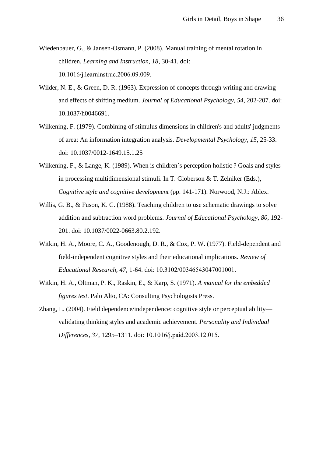- <span id="page-35-2"></span>Wiedenbauer, G., & Jansen-Osmann, P. (2008). Manual training of mental rotation in children. *Learning and Instruction, 18*, 30-41. doi: 10.1016/j.learninstruc.2006.09.009.
- <span id="page-35-0"></span>Wilder, N. E., & Green, D. R. (1963). Expression of concepts through writing and drawing and effects of shifting medium. *Journal of Educational Psychology, 54*, 202-207. doi: 10.1037/h0046691.
- <span id="page-35-6"></span>Wilkening, F. (1979). Combining of stimulus dimensions in children's and adults' judgments of area: An information integration analysis. *Developmental Psychology, 15*, 25-33. doi: 10.1037/0012-1649.15.1.25
- <span id="page-35-7"></span>Wilkening, F., & Lange, K. (1989). When is children's perception holistic ? Goals and styles in processing multidimensional stimuli. In T. Globerson & T. Zelniker (Eds.), *Cognitive style and cognitive development* (pp. 141-171). Norwood, N.J.: Ablex.
- <span id="page-35-1"></span>Willis, G. B., & Fuson, K. C. (1988). Teaching children to use schematic drawings to solve addition and subtraction word problems. *Journal of Educational Psychology, 80*, 192- 201. doi: 10.1037/0022-0663.80.2.192.
- <span id="page-35-3"></span>Witkin, H. A., Moore, C. A., Goodenough, D. R., & Cox, P. W. (1977). Field-dependent and field-independent cognitive styles and their educational implications. *Review of Educational Research, 47*, 1-64. doi: 10.3102/00346543047001001.
- <span id="page-35-4"></span>Witkin, H. A., Oltman, P. K., Raskin, E., & Karp, S. (1971). *A manual for the embedded figures test*. Palo Alto, CA: Consulting Psychologists Press.
- <span id="page-35-5"></span>Zhang, L. (2004). Field dependence/independence: cognitive style or perceptual ability–– validating thinking styles and academic achievement. *Personality and Individual Differences, 37*, 1295–1311. doi: 10.1016/j.paid.2003.12.015.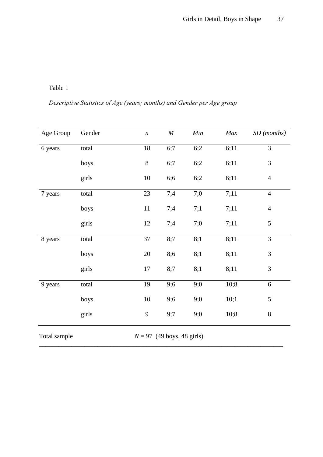## *Descriptive Statistics of Age (years; months) and Gender per Age group*

| Age Group                                    | Gender | $\boldsymbol{n}$ | $\cal M$ | Min | Max  | SD (months)    |  |  |
|----------------------------------------------|--------|------------------|----------|-----|------|----------------|--|--|
| 6 years                                      | total  | $18\,$           | 6;7      | 6;2 | 6;11 | $\overline{3}$ |  |  |
|                                              | boys   | 8                | 6;7      | 6;2 | 6;11 | $\mathfrak{Z}$ |  |  |
|                                              | girls  | $10\,$           | 6;6      | 6;2 | 6;11 | $\overline{4}$ |  |  |
| 7 years                                      | total  | 23               | 7;4      | 7;0 | 7:11 | $\overline{4}$ |  |  |
|                                              | boys   | $11\,$           | 7;4      | 7:1 | 7;11 | $\overline{4}$ |  |  |
|                                              | girls  | 12               | 7;4      | 7;0 | 7;11 | 5              |  |  |
| 8 years                                      | total  | 37               | 8;7      | 8;1 | 8;11 | 3              |  |  |
|                                              | boys   | $20\,$           | 8;6      | 8;1 | 8;11 | 3              |  |  |
|                                              | girls  | 17               | 8;7      | 8;1 | 8;11 | 3              |  |  |
| 9 years                                      | total  | 19               | 9;6      | 9;0 | 10;8 | 6              |  |  |
|                                              | boys   | $10\,$           | 9;6      | 9;0 | 10;1 | 5              |  |  |
|                                              | girls  | 9                | 9:7      | 9;0 | 10;8 | $8\,$          |  |  |
| $N = 97$ (49 boys, 48 girls)<br>Total sample |        |                  |          |     |      |                |  |  |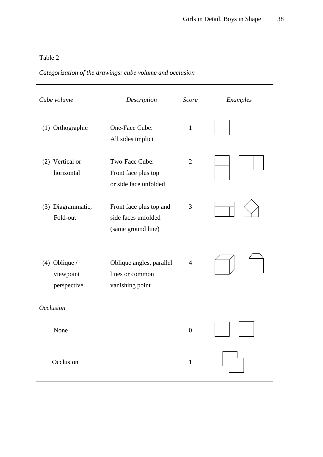## *Categorization of the drawings: cube volume and occlusion*

| Cube volume                                 | Description                                                          |                  | Examples |
|---------------------------------------------|----------------------------------------------------------------------|------------------|----------|
| (1) Orthographic                            | One-Face Cube:<br>All sides implicit                                 | $\mathbf{1}$     |          |
| (2) Vertical or<br>horizontal               | Two-Face Cube:<br>Front face plus top<br>or side face unfolded       | $\overline{2}$   |          |
| (3) Diagrammatic,<br>Fold-out               | Front face plus top and<br>side faces unfolded<br>(same ground line) | 3                |          |
| $(4)$ Oblique /<br>viewpoint<br>perspective | Oblique angles, parallel<br>lines or common<br>vanishing point       | $\overline{4}$   |          |
| <b>Occlusion</b>                            |                                                                      |                  |          |
| None                                        |                                                                      | $\boldsymbol{0}$ |          |
| Occlusion                                   |                                                                      | $\mathbf{1}$     |          |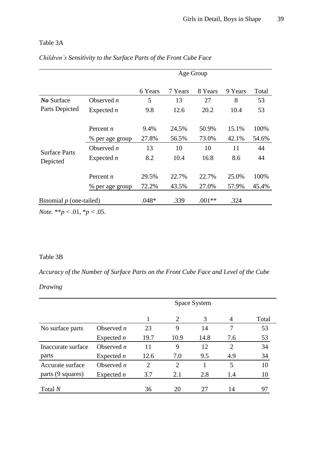### Table 3A

|                                  |                 | Age Group |         |          |         |       |  |
|----------------------------------|-----------------|-----------|---------|----------|---------|-------|--|
|                                  |                 | 6 Years   | 7 Years | 8 Years  | 9 Years | Total |  |
| No Surface                       | Observed $n$    | 5         | 13      | 27       | 8       | 53    |  |
| Parts Depicted                   | Expected $n$    | 9.8       | 12.6    | 20.2     | 10.4    | 53    |  |
|                                  | Percent $n$     | 9.4%      | 24.5%   | 50.9%    | 15.1%   | 100%  |  |
|                                  | % per age group | 27.8%     | 56.5%   | 73.0%    | 42.1%   | 54.6% |  |
|                                  | Observed $n$    | 13        | 10      | 10       | 11      | 44    |  |
| <b>Surface Parts</b><br>Depicted | Expected $n$    | 8.2       | 10.4    | 16.8     | 8.6     | 44    |  |
|                                  | Percent $n$     | 29.5%     | 22.7%   | 22.7%    | 25.0%   | 100%  |  |
|                                  | % per age group | 72.2%     | 43.5%   | 27.0%    | 57.9%   | 45.4% |  |
| Binomial $p$ (one-tailed)        |                 | .048*     | .339    | $.001**$ | .324    |       |  |

### *Children's Sensitivity to the Surface Parts of the Front Cube Face*

*Note.* \*\**p* < .01, \**p* < .05.

### Table 3B

*Accuracy of the Number of Surface Parts on the Front Cube Face and Level of the Cube* 

### *Drawing*

|                    |              | Space System   |                |      |                |       |
|--------------------|--------------|----------------|----------------|------|----------------|-------|
|                    |              | 1              | 2              | 3    | $\overline{4}$ | Total |
| No surface parts   | Observed $n$ | 23             | 9              | 14   | 7              | 53    |
|                    | Expected $n$ | 19.7           | 10.9           | 14.8 | 7.6            | 53    |
| Inaccurate surface | Observed $n$ | 11             | 9              | 12   | $\overline{2}$ | 34    |
| parts              | Expected $n$ | 12.6           | 7.0            | 9.5  | 4.9            | 34    |
| Accurate surface   | Observed $n$ | $\overline{2}$ | $\overline{2}$ |      | 5              | 10    |
| parts (9 squares)  | Expected $n$ | 3.7            | 2.1            | 2.8  | 1.4            | 10    |
| Total N            |              | 36             | 20             | 27   | 14             | 97    |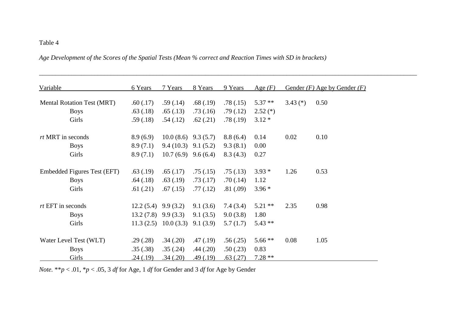*Age Development of the Scores of the Spatial Tests (Mean % correct and Reaction Times with SD in brackets)* 

| Variable                                                                             | 6 Years                                                                            | 7 Years                          | 8 Years                                                  | 9 Years                                                  | Age $(F)$                                         |              | Gender $(F)$ Age by Gender $(F)$ |
|--------------------------------------------------------------------------------------|------------------------------------------------------------------------------------|----------------------------------|----------------------------------------------------------|----------------------------------------------------------|---------------------------------------------------|--------------|----------------------------------|
| <b>Mental Rotation Test (MRT)</b>                                                    | .60(.17)                                                                           | .59(.14)                         | .68(.19)                                                 | .78(.15)                                                 | $5.37**$                                          | $3.43$ (*)   | 0.50                             |
| <b>Boys</b>                                                                          | .63(.18)                                                                           | .65(.13)                         | .73(.16)                                                 | .79(.12)                                                 | $2.52$ (*)                                        |              |                                  |
| Girls                                                                                | .59(.18)                                                                           | .54(.12)                         | .62(.21)                                                 | .78(.19)                                                 | $3.12*$                                           |              |                                  |
| <i>rt</i> MRT in seconds                                                             | 8.9(6.9)                                                                           | 10.0(8.6)                        | 9.3(5.7)                                                 | 8.8(6.4)                                                 | 0.14                                              | 0.02         | 0.10                             |
| <b>Boys</b>                                                                          | 8.9(7.1)                                                                           | $9.4(10.3)$ $9.1(5.2)$           |                                                          | 9.3(8.1)                                                 | 0.00                                              |              |                                  |
| Girls                                                                                | 8.9(7.1)                                                                           | 10.7(6.9)                        | 9.6(6.4)                                                 | 8.3(4.3)                                                 | 0.27                                              |              |                                  |
| Embedded Figures Test (EFT)                                                          | .63(.19)                                                                           | .65(.17)                         | .75(.15)                                                 | .75(.13)                                                 | $3.93*$                                           | 1.26         | 0.53                             |
| <b>Boys</b>                                                                          | .64(.18)                                                                           | .63(.19)                         | .73(.17)                                                 | .70(.14)                                                 | 1.12                                              |              |                                  |
| Girls                                                                                | .61(.21)                                                                           | .67(.15)                         | .77(.12)                                                 | .81(.09)                                                 | $3.96*$                                           |              |                                  |
|                                                                                      |                                                                                    |                                  |                                                          |                                                          |                                                   |              |                                  |
|                                                                                      |                                                                                    |                                  |                                                          |                                                          |                                                   |              |                                  |
| Girls                                                                                |                                                                                    | $11.3(2.5)$ 10.0 (3.3)           | 9.1(3.9)                                                 | 5.7(1.7)                                                 | $5.43**$                                          |              |                                  |
|                                                                                      |                                                                                    |                                  |                                                          |                                                          |                                                   |              |                                  |
|                                                                                      |                                                                                    |                                  |                                                          |                                                          |                                                   |              |                                  |
|                                                                                      |                                                                                    |                                  |                                                          |                                                          |                                                   |              |                                  |
| $rt$ EFT in seconds<br><b>Boys</b><br>Water Level Test (WLT)<br><b>Boys</b><br>Girls | $12.2(5.4)$ 9.9 (3.2)<br>$13.2(7.8)$ 9.9 (3.3)<br>.29(.28)<br>.35(.38)<br>.24(.19) | .34(.20)<br>.35(.24)<br>.34(.20) | 9.1(3.6)<br>9.1(3.5)<br>.47(.19)<br>.44(.20)<br>.49(.19) | 7.4(3.4)<br>9.0(3.8)<br>.56(.25)<br>.50(.23)<br>.63(.27) | $5.21$ **<br>1.80<br>$5.66**$<br>0.83<br>$7.28**$ | 2.35<br>0.08 | 0.98<br>1.05                     |

*\_\_\_\_\_\_\_\_\_\_\_\_\_\_\_\_\_\_\_\_\_\_\_\_\_\_\_\_\_\_\_\_\_\_\_\_\_\_\_\_\_\_\_\_\_\_\_\_\_\_\_\_\_\_\_\_\_\_\_\_\_\_\_\_\_\_\_\_\_\_\_\_\_\_\_\_\_\_\_\_\_\_\_\_\_\_\_\_\_\_\_\_\_\_\_\_\_\_\_\_\_\_\_\_\_\_\_\_\_\_\_\_\_\_\_\_*

*Note.* \*\**p* < .01, \**p* < .05, 3 *df* for Age, 1 *df* for Gender and 3 *df* for Age by Gender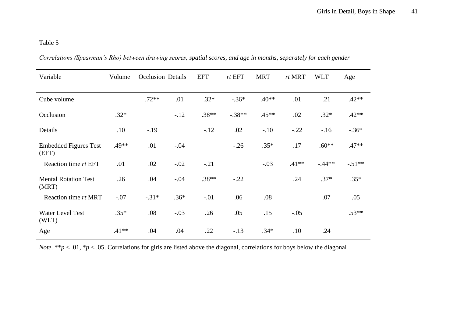| Variable                              | Volume  | <b>Occlusion Details</b> |        | <b>EFT</b> | rtEFT    | <b>MRT</b> | rt MRT  | <b>WLT</b> | Age      |
|---------------------------------------|---------|--------------------------|--------|------------|----------|------------|---------|------------|----------|
| Cube volume                           |         | $.72**$                  | .01    | $.32*$     | $-.36*$  | $.40**$    | .01     | .21        | $.42**$  |
| Occlusion                             | $.32*$  |                          | $-.12$ | $.38**$    | $-.38**$ | $.45**$    | .02     | $.32*$     | $.42**$  |
| Details                               | .10     | $-.19$                   |        | $-.12$     | .02      | $-.10$     | $-.22$  | $-16$      | $-.36*$  |
| <b>Embedded Figures Test</b><br>(EFT) | .49**   | .01                      | $-.04$ |            | $-.26$   | $.35*$     | .17     | $.60**$    | $.47**$  |
| Reaction time rt EFT                  | .01     | .02                      | $-.02$ | $-.21$     |          | $-.03$     | $.41**$ | $-.44**$   | $-.51**$ |
| <b>Mental Rotation Test</b><br>(MRT)  | .26     | .04                      | $-.04$ | $.38**$    | $-.22$   |            | .24     | $.37*$     | $.35*$   |
| Reaction time rt MRT                  | $-.07$  | $-.31*$                  | $.36*$ | $-.01$     | .06      | .08        |         | .07        | .05      |
| Water Level Test<br>(WLT)             | $.35*$  | .08                      | $-.03$ | .26        | .05      | .15        | $-.05$  |            | $.53**$  |
| Age                                   | $.41**$ | .04                      | .04    | .22        | $-.13$   | $.34*$     | .10     | .24        |          |

*Correlations (Spearman's Rho) between drawing scores, spatial scores, and age in months, separately for each gender* 

*Note.* \*\**p* < .01, \**p* < .05. Correlations for girls are listed above the diagonal, correlations for boys below the diagonal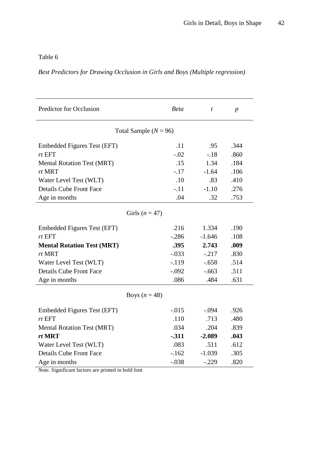## *Best Predictors for Drawing Occlusion in Girls and Boys (Multiple regression)*

| Predictor for Occlusion           | <b>Beta</b> | $\boldsymbol{t}$ | $\boldsymbol{p}$ |  |  |  |  |  |  |
|-----------------------------------|-------------|------------------|------------------|--|--|--|--|--|--|
| Total Sample ( $N = 96$ )         |             |                  |                  |  |  |  |  |  |  |
| Embedded Figures Test (EFT)       | .11         | .95              | .344             |  |  |  |  |  |  |
| rt EFT                            | $-.02$      | $-.18$           | .860             |  |  |  |  |  |  |
| <b>Mental Rotation Test (MRT)</b> | .15         | 1.34             | .184             |  |  |  |  |  |  |
| rt MRT                            | $-17$       | $-1.64$          | .106             |  |  |  |  |  |  |
| Water Level Test (WLT)            | .10         | .83              | .410             |  |  |  |  |  |  |
| <b>Details Cube Front Face</b>    | $-.11$      | $-1.10$          | .276             |  |  |  |  |  |  |
| Age in months                     | .04         | .32              | .753             |  |  |  |  |  |  |
| Girls $(n = 47)$                  |             |                  |                  |  |  |  |  |  |  |
| Embedded Figures Test (EFT)       | .216        | 1.334            | .190             |  |  |  |  |  |  |
| rtEFT                             | $-.286$     | $-1.646$         | .108             |  |  |  |  |  |  |
| <b>Mental Rotation Test (MRT)</b> | .395        | 2.743            | .009             |  |  |  |  |  |  |
| rt MRT                            | $-.033$     | $-.217$          | .830             |  |  |  |  |  |  |
| Water Level Test (WLT)            | $-.119$     | $-.658$          | .514             |  |  |  |  |  |  |
| <b>Details Cube Front Face</b>    | $-.092$     | $-.663$          | .511             |  |  |  |  |  |  |
| Age in months                     | .086        | .484             | .631             |  |  |  |  |  |  |
| Boys $(n = 48)$                   |             |                  |                  |  |  |  |  |  |  |
| Embedded Figures Test (EFT)       | $-.015$     | $-.094$          | .926             |  |  |  |  |  |  |
| rtEFT                             | .110        | .713             | .480             |  |  |  |  |  |  |
| <b>Mental Rotation Test (MRT)</b> | .034        | .204             | .839             |  |  |  |  |  |  |
| rt MRT                            | $-311$      | $-2.089$         | .043             |  |  |  |  |  |  |
| Water Level Test (WLT)            | .083        | .511             | .612             |  |  |  |  |  |  |
| <b>Details Cube Front Face</b>    | $-.162$     | $-1.039$         | .305             |  |  |  |  |  |  |
| Age in months                     | $-.038$     | $-.229$          | .820             |  |  |  |  |  |  |

*Note.* Significant factors are printed in bold font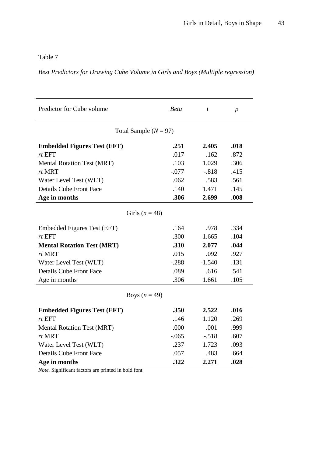*Best Predictors for Drawing Cube Volume in Girls and Boys (Multiple regression)* 

| Predictor for Cube volume          | <b>Beta</b> | $\boldsymbol{t}$ | $\boldsymbol{p}$ |  |  |  |  |  |  |  |
|------------------------------------|-------------|------------------|------------------|--|--|--|--|--|--|--|
| Total Sample $(N = 97)$            |             |                  |                  |  |  |  |  |  |  |  |
| <b>Embedded Figures Test (EFT)</b> | .251        | 2.405            | .018             |  |  |  |  |  |  |  |
| rtEFT                              | .017        | .162             | .872             |  |  |  |  |  |  |  |
| <b>Mental Rotation Test (MRT)</b>  | .103        | 1.029            | .306             |  |  |  |  |  |  |  |
| rt MRT                             | $-.077$     | $-.818$          | .415             |  |  |  |  |  |  |  |
| Water Level Test (WLT)             | .062        | .583             | .561             |  |  |  |  |  |  |  |
| <b>Details Cube Front Face</b>     | .140        | 1.471            | .145             |  |  |  |  |  |  |  |
| Age in months                      | .306        | 2.699            | .008             |  |  |  |  |  |  |  |
| Girls $(n = 48)$                   |             |                  |                  |  |  |  |  |  |  |  |
|                                    |             |                  |                  |  |  |  |  |  |  |  |
| Embedded Figures Test (EFT)        | .164        | .978             | .334             |  |  |  |  |  |  |  |
| $rt$ EFT                           | $-.300$     | $-1.665$         | .104             |  |  |  |  |  |  |  |
| <b>Mental Rotation Test (MRT)</b>  | .310        | 2.077            | .044             |  |  |  |  |  |  |  |
| rt MRT                             | .015        | .092             | .927             |  |  |  |  |  |  |  |
| Water Level Test (WLT)             | $-.288$     | $-1.540$         | .131             |  |  |  |  |  |  |  |
| <b>Details Cube Front Face</b>     | .089        | .616             | .541             |  |  |  |  |  |  |  |
| Age in months                      | .306        | 1.661            | .105             |  |  |  |  |  |  |  |
| Boys $(n = 49)$                    |             |                  |                  |  |  |  |  |  |  |  |
|                                    |             |                  |                  |  |  |  |  |  |  |  |
| <b>Embedded Figures Test (EFT)</b> | .350        | 2.522            | .016             |  |  |  |  |  |  |  |
| rtEFT                              | .146        | 1.120            | .269             |  |  |  |  |  |  |  |
| <b>Mental Rotation Test (MRT)</b>  | .000        | .001             | .999             |  |  |  |  |  |  |  |
| rt MRT                             | $-.065$     | $-.518$          | .607             |  |  |  |  |  |  |  |
| Water Level Test (WLT)             | .237        | 1.723            | .093             |  |  |  |  |  |  |  |
| <b>Details Cube Front Face</b>     | .057        | .483             | .664             |  |  |  |  |  |  |  |
| Age in months<br>$\sim$ $\sim$     | .322        | 2.271            | .028             |  |  |  |  |  |  |  |

*Note.* Significant factors are printed in bold font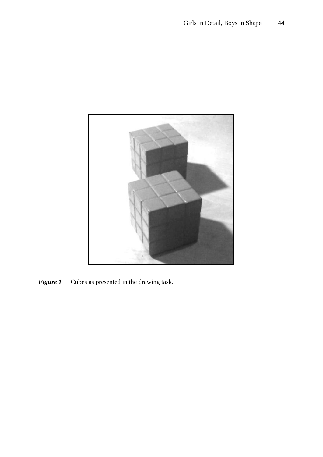

*Figure 1* Cubes as presented in the drawing task.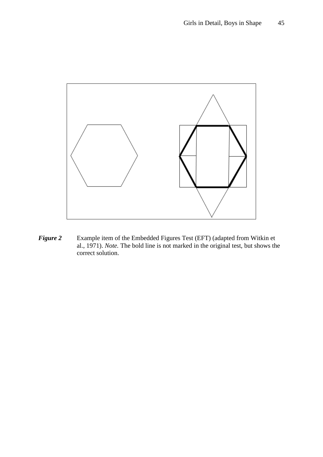

*Figure 2* Example item of the Embedded Figures Test (EFT) (adapted from Witkin et al., 1971). *Note.* The bold line is not marked in the original test, but shows the correct solution.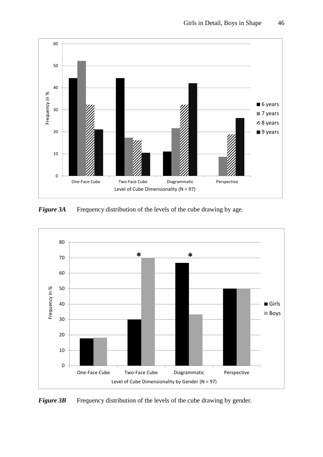

**Figure 3A** Frequency distribution of the levels of the cube drawing by age.



*Figure 3B* Frequency distribution of the levels of the cube drawing by gender.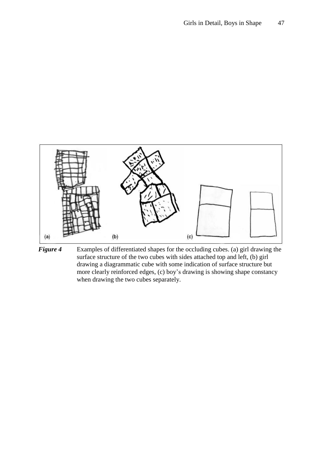

*Figure 4* Examples of differentiated shapes for the occluding cubes. (a) girl drawing the surface structure of the two cubes with sides attached top and left, (b) girl drawing a diagrammatic cube with some indication of surface structure but more clearly reinforced edges, (c) boy's drawing is showing shape constancy when drawing the two cubes separately.